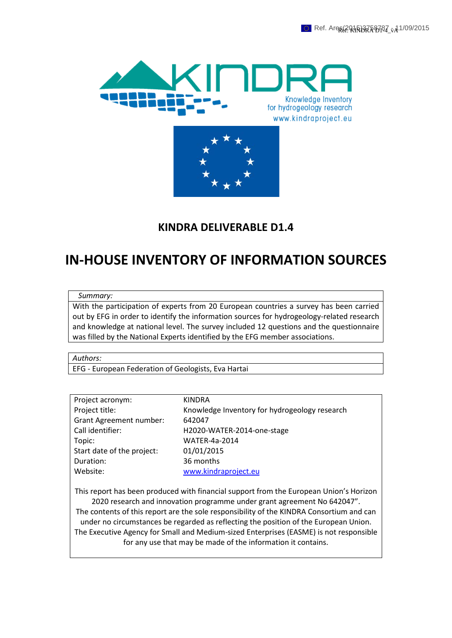



# **KINDRA DELIVERABLE D1.4**

# **IN-HOUSE INVENTORY OF INFORMATION SOURCES**

#### *Summary:*

With the participation of experts from 20 European countries a survey has been carried out by EFG in order to identify the information sources for hydrogeology-related research and knowledge at national level. The survey included 12 questions and the questionnaire was filled by the National Experts identified by the EFG member associations.

*Authors:*

EFG - European Federation of Geologists, Eva Hartai

| Project acronym:               | <b>KINDRA</b>                                 |
|--------------------------------|-----------------------------------------------|
| Project title:                 | Knowledge Inventory for hydrogeology research |
| <b>Grant Agreement number:</b> | 642047                                        |
| Call identifier:               | H2020-WATER-2014-one-stage                    |
| Topic:                         | <b>WATER-4a-2014</b>                          |
| Start date of the project:     | 01/01/2015                                    |
| Duration:                      | 36 months                                     |
| Website:                       | www.kindraproject.eu                          |
|                                |                                               |

This report has been produced with financial support from the European Union's Horizon 2020 research and innovation programme under grant agreement No 642047". The contents of this report are the sole responsibility of the KINDRA Consortium and can under no circumstances be regarded as reflecting the position of the European Union. The Executive Agency for Small and Medium-sized Enterprises (EASME) is not responsible for any use that may be made of the information it contains.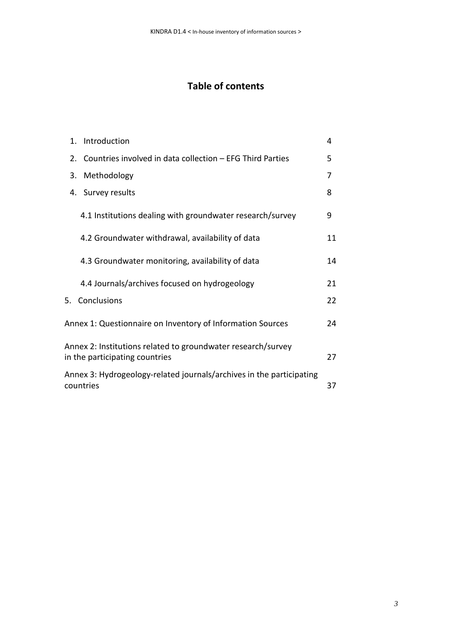# **Table of contents**

| 1. Introduction                                                                                | 4  |
|------------------------------------------------------------------------------------------------|----|
| 2. Countries involved in data collection - EFG Third Parties                                   | 5  |
| Methodology<br>3.                                                                              | 7  |
| 4. Survey results                                                                              | 8  |
| 4.1 Institutions dealing with groundwater research/survey                                      | 9  |
| 4.2 Groundwater withdrawal, availability of data                                               | 11 |
| 4.3 Groundwater monitoring, availability of data                                               | 14 |
| 4.4 Journals/archives focused on hydrogeology                                                  | 21 |
| Conclusions<br>5.                                                                              | 22 |
| Annex 1: Questionnaire on Inventory of Information Sources                                     | 24 |
| Annex 2: Institutions related to groundwater research/survey<br>in the participating countries | 27 |
| Annex 3: Hydrogeology-related journals/archives in the participating<br>countries              | 37 |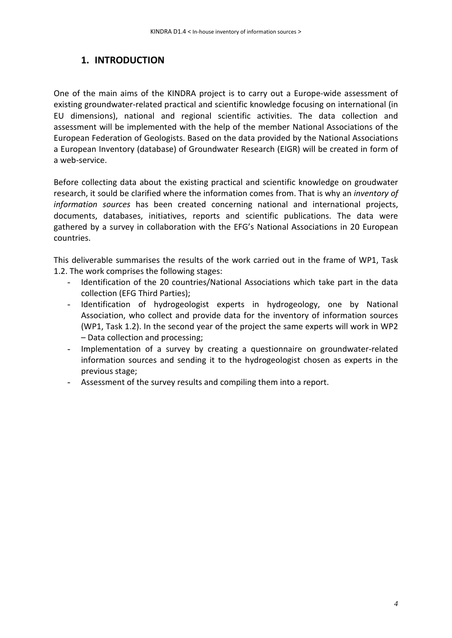## **1. INTRODUCTION**

One of the main aims of the KINDRA project is to carry out a Europe-wide assessment of existing groundwater-related practical and scientific knowledge focusing on international (in EU dimensions), national and regional scientific activities. The data collection and assessment will be implemented with the help of the member National Associations of the European Federation of Geologists. Based on the data provided by the National Associations a European Inventory (database) of Groundwater Research (EIGR) will be created in form of a web-service.

Before collecting data about the existing practical and scientific knowledge on groudwater research, it sould be clarified where the information comes from. That is why an *inventory of information sources* has been created concerning national and international projects, documents, databases, initiatives, reports and scientific publications. The data were gathered by a survey in collaboration with the EFG's National Associations in 20 European countries.

This deliverable summarises the results of the work carried out in the frame of WP1, Task 1.2. The work comprises the following stages:

- Identification of the 20 countries/National Associations which take part in the data collection (EFG Third Parties);
- Identification of hydrogeologist experts in hydrogeology, one by National Association, who collect and provide data for the inventory of information sources (WP1, Task 1.2). In the second year of the project the same experts will work in WP2 – Data collection and processing;
- Implementation of a survey by creating a questionnaire on groundwater-related information sources and sending it to the hydrogeologist chosen as experts in the previous stage;
- Assessment of the survey results and compiling them into a report.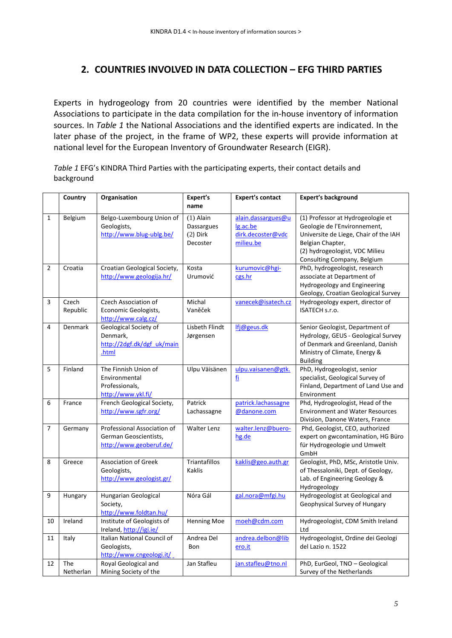## **2. COUNTRIES INVOLVED IN DATA COLLECTION – EFG THIRD PARTIES**

Experts in hydrogeology from 20 countries were identified by the member National Associations to participate in the data compilation for the in-house inventory of information sources. In *Table 1* the National Associations and the identified experts are indicated. In the later phase of the project, in the frame of WP2, these experts will provide information at national level for the European Inventory of Groundwater Research (EIGR).

*Table 1* EFG's KINDRA Third Parties with the participating experts, their contact details and background

|                | Country           | Organisation                                                                    | Expert's<br>name                                    | <b>Expert's contact</b>                                          | <b>Expert's background</b>                                                                                                                                                                      |
|----------------|-------------------|---------------------------------------------------------------------------------|-----------------------------------------------------|------------------------------------------------------------------|-------------------------------------------------------------------------------------------------------------------------------------------------------------------------------------------------|
| $\mathbf{1}$   | Belgium           | Belgo-Luxembourg Union of<br>Geologists,<br>http://www.blug-ublg.be/            | $(1)$ Alain<br>Dassargues<br>$(2)$ Dirk<br>Decoster | alain.dassargues@u<br>lg.ac.be<br>dirk.decoster@vdc<br>milieu.be | (1) Professor at Hydrogeologie et<br>Geologie de l'Environnement,<br>Universite de Liege, Chair of the IAH<br>Belgian Chapter,<br>(2) hydrogeologist, VDC Milieu<br>Consulting Company, Belgium |
| $\overline{2}$ | Croatia           | Croatian Geological Society,<br>http://www.geologija.hr/                        | Kosta<br>Urumović                                   | kurumovic@hgi-<br>cgs.hr                                         | PhD, hydrogeologist, research<br>associate at Department of<br>Hydrogeology and Engineering<br>Geology, Croatian Geological Survey                                                              |
| 3              | Czech<br>Republic | Czech Association of<br>Economic Geologists,<br>http://www.calg.cz/             | Michal<br>Vaněček                                   | vanecek@isatech.cz                                               | Hydrogeology expert, director of<br>ISATECH s.r.o.                                                                                                                                              |
| 4              | Denmark           | Geological Society of<br>Denmark,<br>http://2dgf.dk/dgf uk/main<br>.html        | Lisbeth Flindt<br>Jørgensen                         | lfj@geus.dk                                                      | Senior Geologist, Department of<br>Hydrology, GEUS - Geological Survey<br>of Denmark and Greenland, Danish<br>Ministry of Climate, Energy &<br><b>Building</b>                                  |
| 5              | Finland           | The Finnish Union of<br>Environmental<br>Professionals,<br>http://www.ykl.fi/   | Ulpu Väisänen                                       | ulpu.vaisanen@gtk.<br><u>fi</u>                                  | PhD, Hydrogeologist, senior<br>specialist, Geological Survey of<br>Finland, Department of Land Use and<br>Environment                                                                           |
| 6              | France            | French Geological Society,<br>http://www.sgfr.org/                              | Patrick<br>Lachassagne                              | patrick.lachassagne<br>@danone.com                               | Phd, Hydrogeologist, Head of the<br><b>Environment and Water Resources</b><br>Division, Danone Waters, France                                                                                   |
| $\overline{7}$ | Germany           | Professional Association of<br>German Geoscientists,<br>http://www.geoberuf.de/ | <b>Walter Lenz</b>                                  | walter.lenz@buero-<br>hg.de                                      | Phd, Geologist, CEO, authorized<br>expert on gwcontamination, HG Büro<br>für Hydrogeologie und Umwelt<br>GmbH                                                                                   |
| 8              | Greece            | <b>Association of Greek</b><br>Geologists,<br>http://www.geologist.gr/          | <b>Triantafillos</b><br>Kaklis                      | kaklis@geo.auth.gr                                               | Geologist, PhD, MSc, Aristotle Univ.<br>of Thessaloniki, Dept. of Geology,<br>Lab. of Engineering Geology &<br>Hydrogeology                                                                     |
| 9              | Hungary           | Hungarian Geological<br>Society,<br>http://www.foldtan.hu/                      | Nóra Gál                                            | gal.nora@mfgi.hu                                                 | Hydrogeologist at Geological and<br>Geophysical Survey of Hungary                                                                                                                               |
| 10             | Ireland           | Institute of Geologists of<br>Ireland, http://igi.ie/                           | <b>Henning Moe</b>                                  | moeh@cdm.com                                                     | Hydrogeologist, CDM Smith Ireland<br>Ltd                                                                                                                                                        |
| 11             | Italy             | Italian National Council of<br>Geologists,<br>http://www.cngeologi.it/          | Andrea Del<br><b>Bon</b>                            | andrea.delbon@lib<br>ero.it                                      | Hydrogeologist, Ordine dei Geologi<br>del Lazio n. 1522                                                                                                                                         |
| 12             | The<br>Netherlan  | Royal Geological and<br>Mining Society of the                                   | Jan Stafleu                                         | jan.stafleu@tno.nl                                               | PhD, EurGeol, TNO - Geological<br>Survey of the Netherlands                                                                                                                                     |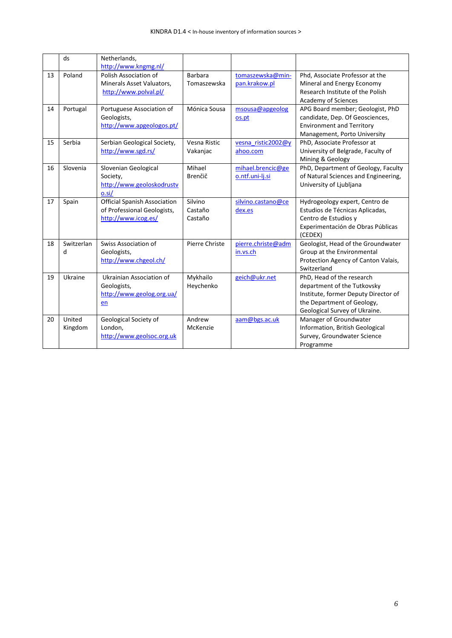|    | ds                | Netherlands,<br>http://www.kngmg.nl/                                                      |                               |                                      |                                                                                                                                                                 |
|----|-------------------|-------------------------------------------------------------------------------------------|-------------------------------|--------------------------------------|-----------------------------------------------------------------------------------------------------------------------------------------------------------------|
| 13 | Poland            | Polish Association of<br>Minerals Asset Valuators,<br>http://www.polval.pl/               | <b>Barbara</b><br>Tomaszewska | tomaszewska@min-<br>pan.krakow.pl    | Phd, Associate Professor at the<br>Mineral and Energy Economy<br>Research Institute of the Polish<br>Academy of Sciences                                        |
| 14 | Portugal          | Portuguese Association of<br>Geologists,<br>http://www.apgeologos.pt/                     | Mónica Sousa                  | msousa@apgeolog<br>os.pt             | APG Board member; Geologist, PhD<br>candidate, Dep. Of Geosciences,<br><b>Environment and Territory</b><br>Management, Porto University                         |
| 15 | Serbia            | Serbian Geological Society,<br>http://www.sgd.rs/                                         | Vesna Ristic<br>Vakanjac      | vesna ristic2002@y<br>ahoo.com       | PhD, Associate Professor at<br>University of Belgrade, Faculty of<br>Mining & Geology                                                                           |
| 16 | Slovenia          | Slovenian Geological<br>Society,<br>http://www.geoloskodrustv<br>0.5i/                    | Mihael<br>Brenčič             | mihael.brencic@ge<br>o.ntf.uni-lj.si | PhD, Department of Geology, Faculty<br>of Natural Sciences and Engineering,<br>University of Ljubljana                                                          |
| 17 | Spain             | <b>Official Spanish Association</b><br>of Professional Geologists,<br>http://www.icog.es/ | Silvino<br>Castaño<br>Castaño | silvino.castano@ce<br>dex.es         | Hydrogeology expert, Centro de<br>Estudios de Técnicas Aplicadas,<br>Centro de Estudios y<br>Experimentación de Obras Públicas<br>(CEDEX)                       |
| 18 | Switzerlan<br>d   | Swiss Association of<br>Geologists,<br>http://www.chgeol.ch/                              | Pierre Christe                | pierre.christe@adm<br>in.vs.ch       | Geologist, Head of the Groundwater<br>Group at the Environmental<br>Protection Agency of Canton Valais,<br>Switzerland                                          |
| 19 | Ukraine           | Ukrainian Association of<br>Geologists,<br>http://www.geolog.org.ua/<br>en                | Mykhailo<br>Heychenko         | geich@ukr.net                        | PhD, Head of the research<br>department of the Tutkovsky<br>Institute, former Deputy Director of<br>the Department of Geology,<br>Geological Survey of Ukraine. |
| 20 | United<br>Kingdom | Geological Society of<br>London,<br>http://www.geolsoc.org.uk                             | Andrew<br>McKenzie            | aam@bgs.ac.uk                        | Manager of Groundwater<br>Information, British Geological<br>Survey, Groundwater Science<br>Programme                                                           |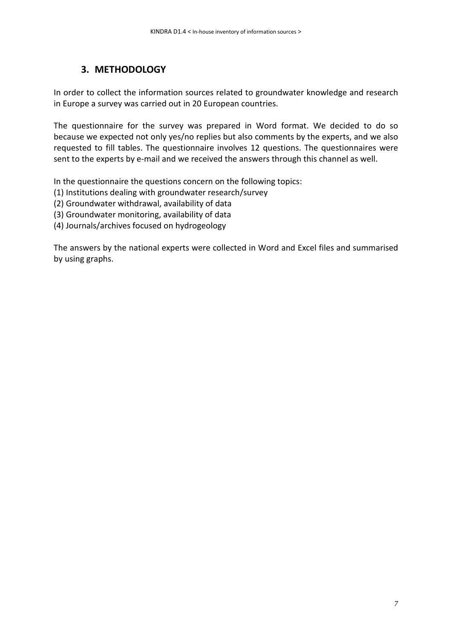### **3. METHODOLOGY**

In order to collect the information sources related to groundwater knowledge and research in Europe a survey was carried out in 20 European countries.

The questionnaire for the survey was prepared in Word format. We decided to do so because we expected not only yes/no replies but also comments by the experts, and we also requested to fill tables. The questionnaire involves 12 questions. The questionnaires were sent to the experts by e-mail and we received the answers through this channel as well.

In the questionnaire the questions concern on the following topics:

- (1) Institutions dealing with groundwater research/survey
- (2) Groundwater withdrawal, availability of data
- (3) Groundwater monitoring, availability of data
- (4) Journals/archives focused on hydrogeology

The answers by the national experts were collected in Word and Excel files and summarised by using graphs.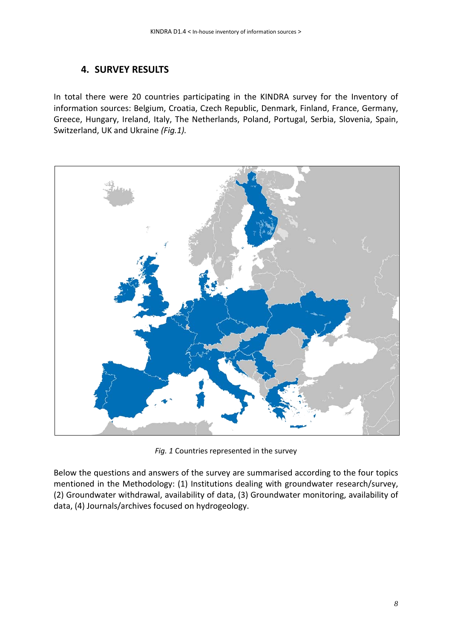### **4. SURVEY RESULTS**

In total there were 20 countries participating in the KINDRA survey for the Inventory of information sources: Belgium, Croatia, Czech Republic, Denmark, Finland, France, Germany, Greece, Hungary, Ireland, Italy, The Netherlands, Poland, Portugal, Serbia, Slovenia, Spain, Switzerland, UK and Ukraine *(Fig.1).*



*Fig. 1* Countries represented in the survey

Below the questions and answers of the survey are summarised according to the four topics mentioned in the Methodology: (1) Institutions dealing with groundwater research/survey, (2) Groundwater withdrawal, availability of data, (3) Groundwater monitoring, availability of data, (4) Journals/archives focused on hydrogeology.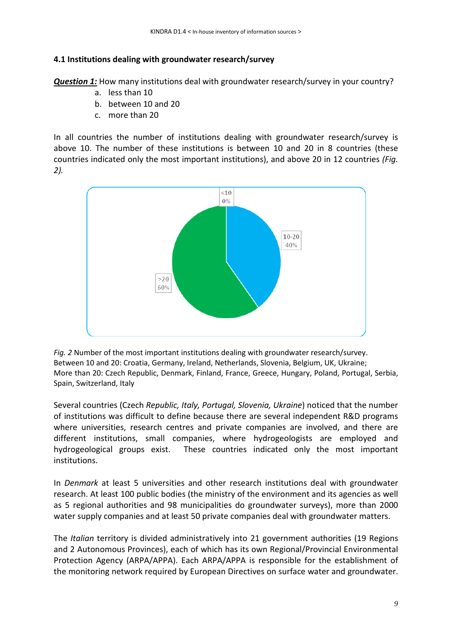### **4.1 Institutions dealing with groundwater research/survey**

*Question 1:* How many institutions deal with groundwater research/survey in your country?

- a. less than 10
- b. between 10 and 20
- c. more than 20

In all countries the number of institutions dealing with groundwater research/survey is above 10. The number of these institutions is between 10 and 20 in 8 countries (these countries indicated only the most important institutions), and above 20 in 12 countries *(Fig. 2).*



*Fig. 2* Number of the most important institutions dealing with groundwater research/survey. Between 10 and 20: Croatia, Germany, Ireland, Netherlands, Slovenia, Belgium, UK, Ukraine; More than 20: Czech Republic, Denmark, Finland, France, Greece, Hungary, Poland, Portugal, Serbia, Spain, Switzerland, Italy

Several countries (Czech *Republic, Italy, Portugal, Slovenia, Ukraine*) noticed that the number of institutions was difficult to define because there are several independent R&D programs where universities, research centres and private companies are involved, and there are different institutions, small companies, where hydrogeologists are employed and hydrogeological groups exist. These countries indicated only the most important institutions.

In *Denmark* at least 5 universities and other research institutions deal with groundwater research. At least 100 public bodies (the ministry of the environment and its agencies as well as 5 regional authorities and 98 municipalities do groundwater surveys), more than 2000 water supply companies and at least 50 private companies deal with groundwater matters.

The *Italian* territory is divided administratively into 21 government authorities (19 Regions and 2 Autonomous Provinces), each of which has its own Regional/Provincial Environmental Protection Agency (ARPA/APPA). Each ARPA/APPA is responsible for the establishment of the monitoring network required by European Directives on surface water and groundwater.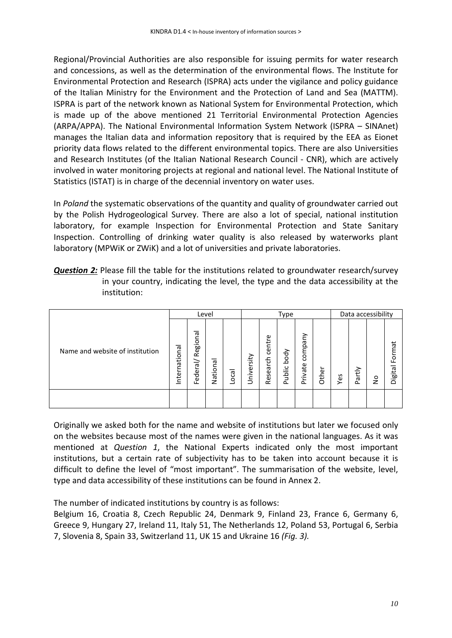Regional/Provincial Authorities are also responsible for issuing permits for water research and concessions, as well as the determination of the environmental flows. The Institute for Environmental Protection and Research (ISPRA) acts under the vigilance and policy guidance of the Italian Ministry for the Environment and the Protection of Land and Sea (MATTM). ISPRA is part of the network known as National System for Environmental Protection, which is made up of the above mentioned 21 Territorial Environmental Protection Agencies (ARPA/APPA). The National Environmental Information System Network (ISPRA – SINAnet) manages the Italian data and information repository that is required by the EEA as Eionet priority data flows related to the different environmental topics. There are also Universities and Research Institutes (of the Italian National Research Council - CNR), which are actively involved in water monitoring projects at regional and national level. The National Institute of Statistics (ISTAT) is in charge of the decennial inventory on water uses.

In *Poland* the systematic observations of the quantity and quality of groundwater carried out by the Polish Hydrogeological Survey. There are also a lot of special, national institution laboratory, for example Inspection for Environmental Protection and State Sanitary Inspection. Controlling of drinking water quality is also released by waterworks plant laboratory (MPWiK or ZWiK) and a lot of universities and private laboratories.

**Question 2:** Please fill the table for the institutions related to groundwater research/survey in your country, indicating the level, the type and the data accessibility at the institution:

|                                 | Level            |                                             |              |      |            |                    | Type               |                    |       | Data accessibility |                |              |                   |  |  |
|---------------------------------|------------------|---------------------------------------------|--------------|------|------------|--------------------|--------------------|--------------------|-------|--------------------|----------------|--------------|-------------------|--|--|
| Name and website of institution | nationa<br>nteri | legional<br>$\propto$<br>$\sigma$<br>Federa | ᢛ<br>Nation: | Loca | University | centre<br>Research | body<br>ublic<br>௳ | company<br>Private | Other | Yes                | tiy<br>ω<br>C. | $\circ$<br>z | Format<br>Digital |  |  |
|                                 |                  |                                             |              |      |            |                    |                    |                    |       |                    |                |              |                   |  |  |

Originally we asked both for the name and website of institutions but later we focused only on the websites because most of the names were given in the national languages. As it was mentioned at *Question 1*, the National Experts indicated only the most important institutions, but a certain rate of subjectivity has to be taken into account because it is difficult to define the level of "most important". The summarisation of the website, level, type and data accessibility of these institutions can be found in Annex 2.

The number of indicated institutions by country is as follows:

Belgium 16, Croatia 8, Czech Republic 24, Denmark 9, Finland 23, France 6, Germany 6, Greece 9, Hungary 27, Ireland 11, Italy 51, The Netherlands 12, Poland 53, Portugal 6, Serbia 7, Slovenia 8, Spain 33, Switzerland 11, UK 15 and Ukraine 16 *(Fig. 3).*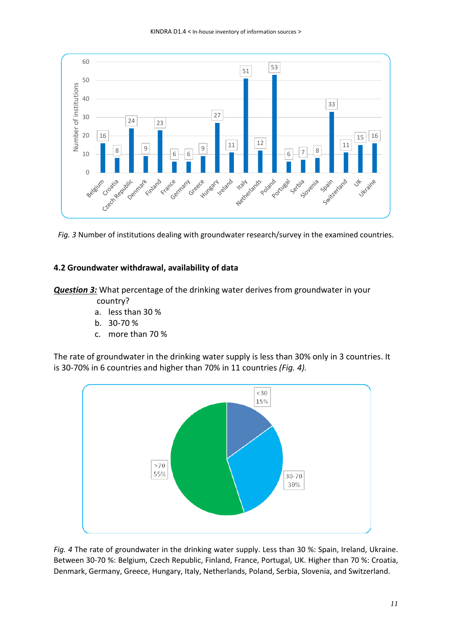

*Fig. 3* Number of institutions dealing with groundwater research/survey in the examined countries.

### **4.2 Groundwater withdrawal, availability of data**

*Question 3:* What percentage of the drinking water derives from groundwater in your

- country?
- a. less than 30 %
- b. 30-70 %
- c. more than 70 %

The rate of groundwater in the drinking water supply is less than 30% only in 3 countries. It is 30-70% in 6 countries and higher than 70% in 11 countries *(Fig. 4).*



*Fig. 4* The rate of groundwater in the drinking water supply. Less than 30 %: Spain, Ireland, Ukraine. Between 30-70 %: Belgium, Czech Republic, Finland, France, Portugal, UK. Higher than 70 %: Croatia, Denmark, Germany, Greece, Hungary, Italy, Netherlands, Poland, Serbia, Slovenia, and Switzerland.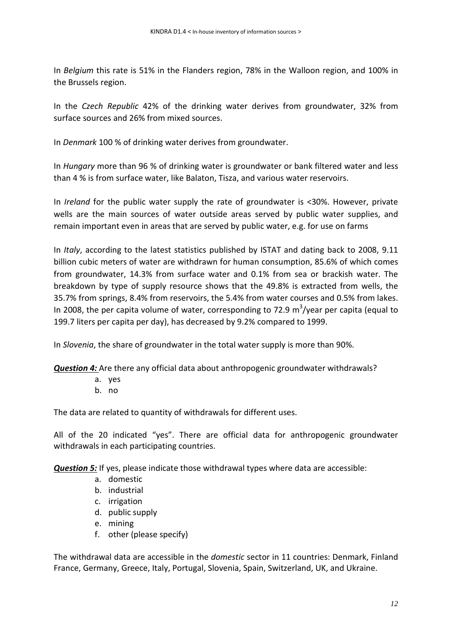In *Belgium* this rate is 51% in the Flanders region, 78% in the Walloon region, and 100% in the Brussels region.

In the *Czech Republic* 42% of the drinking water derives from groundwater, 32% from surface sources and 26% from mixed sources.

In *Denmark* 100 % of drinking water derives from groundwater.

In *Hungary* more than 96 % of drinking water is groundwater or bank filtered water and less than 4 % is from surface water, like Balaton, Tisza, and various water reservoirs.

In *Ireland* for the public water supply the rate of groundwater is <30%. However, private wells are the main sources of water outside areas served by public water supplies, and remain important even in areas that are served by public water, e.g. for use on farms

In *Italy*, according to the latest statistics published by ISTAT and dating back to 2008, 9.11 billion cubic meters of water are withdrawn for human consumption, 85.6% of which comes from groundwater, 14.3% from surface water and 0.1% from sea or brackish water. The breakdown by type of supply resource shows that the 49.8% is extracted from wells, the 35.7% from springs, 8.4% from reservoirs, the 5.4% from water courses and 0.5% from lakes. In 2008, the per capita volume of water, corresponding to 72.9  $m^3$ /year per capita (equal to 199.7 liters per capita per day), has decreased by 9.2% compared to 1999.

In *Slovenia*, the share of groundwater in the total water supply is more than 90%.

*Question 4:* Are there any official data about anthropogenic groundwater withdrawals?

- a. yes
- b. no

The data are related to quantity of withdrawals for different uses.

All of the 20 indicated "yes". There are official data for anthropogenic groundwater withdrawals in each participating countries.

*Question 5:* If yes, please indicate those withdrawal types where data are accessible:

- a. domestic
- b. industrial
- c. irrigation
- d. public supply
- e. mining
- f. other (please specify)

The withdrawal data are accessible in the *domestic* sector in 11 countries: Denmark, Finland France, Germany, Greece, Italy, Portugal, Slovenia, Spain, Switzerland, UK, and Ukraine.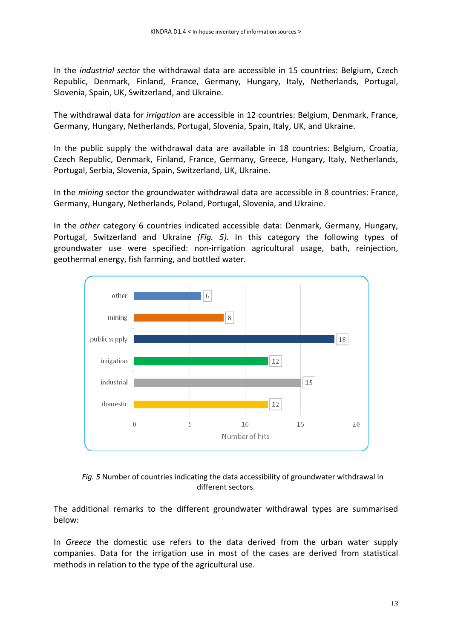In the *industrial sector* the withdrawal data are accessible in 15 countries: Belgium, Czech Republic, Denmark, Finland, France, Germany, Hungary, Italy, Netherlands, Portugal, Slovenia, Spain, UK, Switzerland, and Ukraine.

The withdrawal data for *irrigation* are accessible in 12 countries: Belgium, Denmark, France, Germany, Hungary, Netherlands, Portugal, Slovenia, Spain, Italy, UK, and Ukraine.

In the public supply the withdrawal data are available in 18 countries: Belgium, Croatia, Czech Republic, Denmark, Finland, France, Germany, Greece, Hungary, Italy, Netherlands, Portugal, Serbia, Slovenia, Spain, Switzerland, UK, Ukraine.

In the *mining* sector the groundwater withdrawal data are accessible in 8 countries: France, Germany, Hungary, Netherlands, Poland, Portugal, Slovenia, and Ukraine.

In the *other* category 6 countries indicated accessible data: Denmark, Germany, Hungary, Portugal, Switzerland and Ukraine *(Fig. 5).* In this category the following types of groundwater use were specified: non-irrigation agricultural usage, bath, reinjection, geothermal energy, fish farming, and bottled water.





The additional remarks to the different groundwater withdrawal types are summarised below:

In *Greece* the domestic use refers to the data derived from the urban water supply companies. Data for the irrigation use in most of the cases are derived from statistical methods in relation to the type of the agricultural use.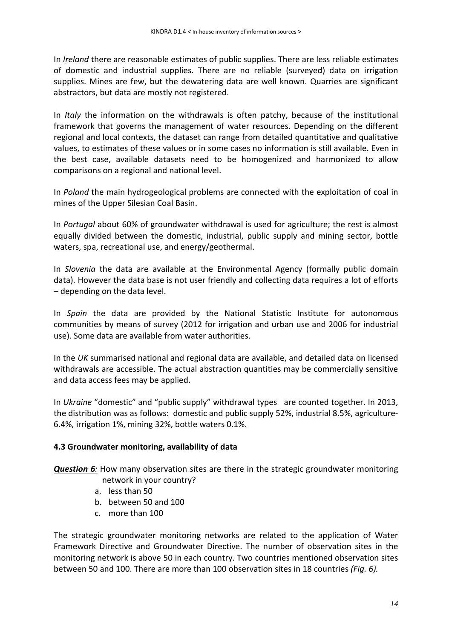In *Ireland* there are reasonable estimates of public supplies. There are less reliable estimates of domestic and industrial supplies. There are no reliable (surveyed) data on irrigation supplies. Mines are few, but the dewatering data are well known. Quarries are significant abstractors, but data are mostly not registered.

In *Italy* the information on the withdrawals is often patchy, because of the institutional framework that governs the management of water resources. Depending on the different regional and local contexts, the dataset can range from detailed quantitative and qualitative values, to estimates of these values or in some cases no information is still available. Even in the best case, available datasets need to be homogenized and harmonized to allow comparisons on a regional and national level.

In *Poland* the main hydrogeological problems are connected with the exploitation of coal in mines of the Upper Silesian Coal Basin.

In *Portugal* about 60% of groundwater withdrawal is used for agriculture; the rest is almost equally divided between the domestic, industrial, public supply and mining sector, bottle waters, spa, recreational use, and energy/geothermal.

In *Slovenia* the data are available at the Environmental Agency (formally public domain data). However the data base is not user friendly and collecting data requires a lot of efforts – depending on the data level.

In *Spain* the data are provided by the National Statistic Institute for autonomous communities by means of survey (2012 for irrigation and urban use and 2006 for industrial use). Some data are available from water authorities.

In the *UK* summarised national and regional data are available, and detailed data on licensed withdrawals are accessible. The actual abstraction quantities may be commercially sensitive and data access fees may be applied.

In *Ukraine* "domestic" and "public supply" withdrawal types are counted together. In 2013, the distribution was as follows: domestic and public supply 52%, industrial 8.5%, agriculture-6.4%, irrigation 1%, mining 32%, bottle waters 0.1%.

### **4.3 Groundwater monitoring, availability of data**

*Question 6:* How many observation sites are there in the strategic groundwater monitoring network in your country?

- a. less than 50
- b. between 50 and 100
- c. more than 100

The strategic groundwater monitoring networks are related to the application of Water Framework Directive and Groundwater Directive. The number of observation sites in the monitoring network is above 50 in each country. Two countries mentioned observation sites between 50 and 100. There are more than 100 observation sites in 18 countries *(Fig. 6).*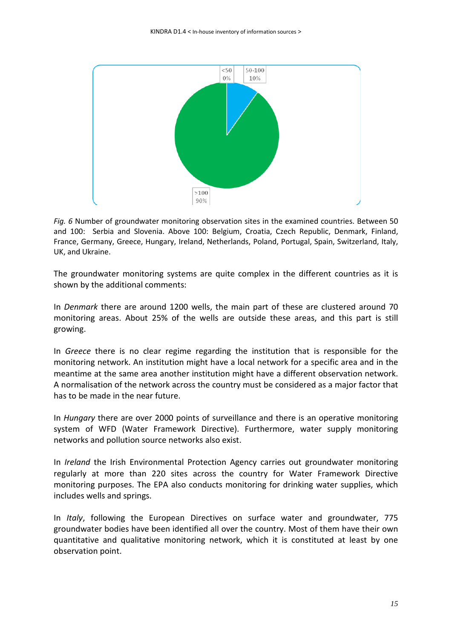

*Fig. 6* Number of groundwater monitoring observation sites in the examined countries. Between 50 and 100: Serbia and Slovenia. Above 100: Belgium, Croatia, Czech Republic, Denmark, Finland, France, Germany, Greece, Hungary, Ireland, Netherlands, Poland, Portugal, Spain, Switzerland, Italy, UK, and Ukraine.

The groundwater monitoring systems are quite complex in the different countries as it is shown by the additional comments:

In *Denmark* there are around 1200 wells, the main part of these are clustered around 70 monitoring areas. About 25% of the wells are outside these areas, and this part is still growing.

In *Greece* there is no clear regime regarding the institution that is responsible for the monitoring network. An institution might have a local network for a specific area and in the meantime at the same area another institution might have a different observation network. A normalisation of the network across the country must be considered as a major factor that has to be made in the near future.

In *Hungary* there are over 2000 points of surveillance and there is an operative monitoring system of WFD (Water Framework Directive). Furthermore, water supply monitoring networks and pollution source networks also exist.

In *Ireland* the Irish Environmental Protection Agency carries out groundwater monitoring regularly at more than 220 sites across the country for Water Framework Directive monitoring purposes. The EPA also conducts monitoring for drinking water supplies, which includes wells and springs.

In *Italy*, following the European Directives on surface water and groundwater, 775 groundwater bodies have been identified all over the country. Most of them have their own quantitative and qualitative monitoring network, which it is constituted at least by one observation point.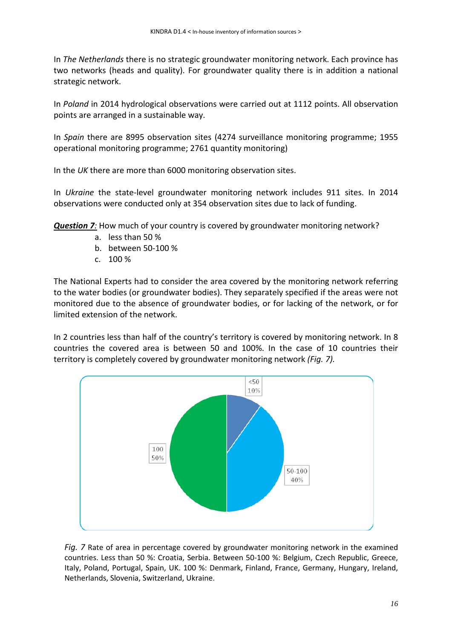In *The Netherlands* there is no strategic groundwater monitoring network. Each province has two networks (heads and quality). For groundwater quality there is in addition a national strategic network.

In *Poland* in 2014 hydrological observations were carried out at 1112 points. All observation points are arranged in a sustainable way.

In *Spain* there are 8995 observation sites (4274 surveillance monitoring programme; 1955 operational monitoring programme; 2761 quantity monitoring)

In the *UK* there are more than 6000 monitoring observation sites.

In *Ukraine* the state-level groundwater monitoring network includes 911 sites. In 2014 observations were conducted only at 354 observation sites due to lack of funding.

*Question 7:* How much of your country is covered by groundwater monitoring network?

- a. less than 50 %
- b. between 50-100 %
- c. 100 %

The National Experts had to consider the area covered by the monitoring network referring to the water bodies (or groundwater bodies). They separately specified if the areas were not monitored due to the absence of groundwater bodies, or for lacking of the network, or for limited extension of the network.

In 2 countries less than half of the country's territory is covered by monitoring network. In 8 countries the covered area is between 50 and 100%. In the case of 10 countries their territory is completely covered by groundwater monitoring network *(Fig. 7).*



*Fig. 7* Rate of area in percentage covered by groundwater monitoring network in the examined countries. Less than 50 %: Croatia, Serbia. Between 50-100 %: Belgium, Czech Republic, Greece, Italy, Poland, Portugal, Spain, UK. 100 %: Denmark, Finland, France, Germany, Hungary, Ireland, Netherlands, Slovenia, Switzerland, Ukraine.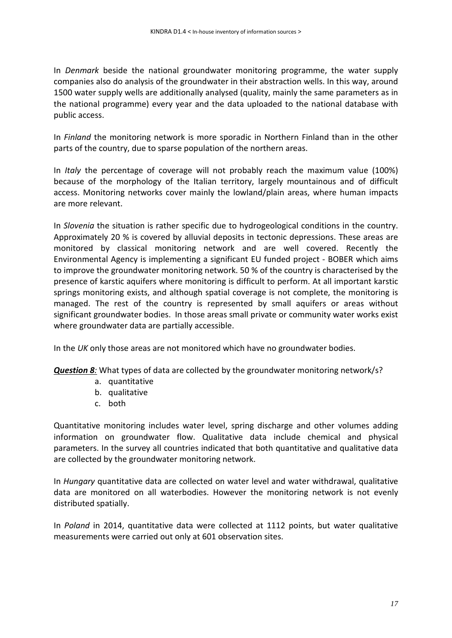In *Denmark* beside the national groundwater monitoring programme, the water supply companies also do analysis of the groundwater in their abstraction wells. In this way, around 1500 water supply wells are additionally analysed (quality, mainly the same parameters as in the national programme) every year and the data uploaded to the national database with public access.

In *Finland* the monitoring network is more sporadic in Northern Finland than in the other parts of the country, due to sparse population of the northern areas.

In *Italy* the percentage of coverage will not probably reach the maximum value (100%) because of the morphology of the Italian territory, largely mountainous and of difficult access. Monitoring networks cover mainly the lowland/plain areas, where human impacts are more relevant.

In *Slovenia* the situation is rather specific due to hydrogeological conditions in the country. Approximately 20 % is covered by alluvial deposits in tectonic depressions. These areas are monitored by classical monitoring network and are well covered. Recently the Environmental Agency is implementing a significant EU funded project - BOBER which aims to improve the groundwater monitoring network. 50 % of the country is characterised by the presence of karstic aquifers where monitoring is difficult to perform. At all important karstic springs monitoring exists, and although spatial coverage is not complete, the monitoring is managed. The rest of the country is represented by small aquifers or areas without significant groundwater bodies. In those areas small private or community water works exist where groundwater data are partially accessible.

In the *UK* only those areas are not monitored which have no groundwater bodies.

*Question 8:* What types of data are collected by the groundwater monitoring network/s?

- a. quantitative
- b. qualitative
- c. both

Quantitative monitoring includes water level, spring discharge and other volumes adding information on groundwater flow. Qualitative data include chemical and physical parameters. In the survey all countries indicated that both quantitative and qualitative data are collected by the groundwater monitoring network.

In *Hungary* quantitative data are collected on water level and water withdrawal, qualitative data are monitored on all waterbodies. However the monitoring network is not evenly distributed spatially.

In *Poland* in 2014, quantitative data were collected at 1112 points, but water qualitative measurements were carried out only at 601 observation sites.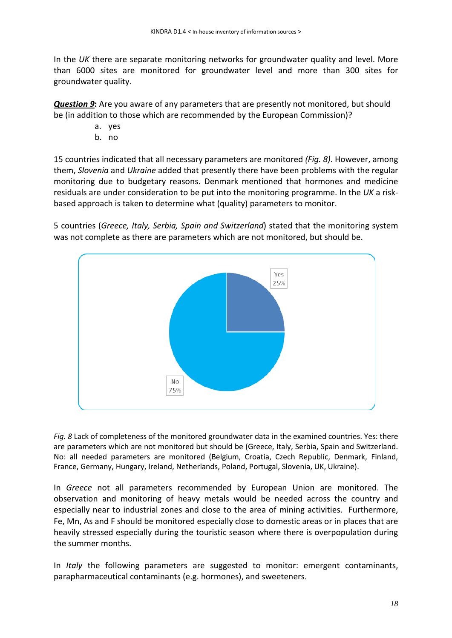In the *UK* there are separate monitoring networks for groundwater quality and level. More than 6000 sites are monitored for groundwater level and more than 300 sites for groundwater quality.

*Question 9* **:** Are you aware of any parameters that are presently not monitored, but should be (in addition to those which are recommended by the European Commission)?

- a. yes
- b. no

15 countries indicated that all necessary parameters are monitored *(Fig. 8)*. However, among them, *Slovenia* and *Ukraine* added that presently there have been problems with the regular monitoring due to budgetary reasons. Denmark mentioned that hormones and medicine residuals are under consideration to be put into the monitoring programme. In the *UK* a riskbased approach is taken to determine what (quality) parameters to monitor.

5 countries (*Greece, Italy, Serbia, Spain and Switzerland*) stated that the monitoring system was not complete as there are parameters which are not monitored, but should be.



*Fig. 8* Lack of completeness of the monitored groundwater data in the examined countries. Yes: there are parameters which are not monitored but should be (Greece, Italy, Serbia, Spain and Switzerland. No: all needed parameters are monitored (Belgium, Croatia, Czech Republic, Denmark, Finland, France, Germany, Hungary, Ireland, Netherlands, Poland, Portugal, Slovenia, UK, Ukraine).

In *Greece* not all parameters recommended by European Union are monitored. The observation and monitoring of heavy metals would be needed across the country and especially near to industrial zones and close to the area of mining activities. Furthermore, Fe, Mn, As and F should be monitored especially close to domestic areas or in places that are heavily stressed especially during the touristic season where there is overpopulation during the summer months.

In *Italy* the following parameters are suggested to monitor: emergent contaminants, parapharmaceutical contaminants (e.g. hormones), and sweeteners.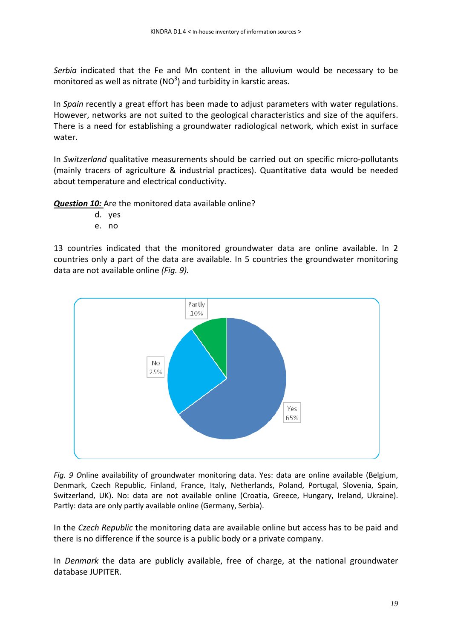*Serbia* indicated that the Fe and Mn content in the alluvium would be necessary to be monitored as well as nitrate (NO<sup>3</sup>) and turbidity in karstic areas.

In *Spain* recently a great effort has been made to adjust parameters with water regulations. However, networks are not suited to the geological characteristics and size of the aquifers. There is a need for establishing a groundwater radiological network, which exist in surface water.

In *Switzerland* qualitative measurements should be carried out on specific micro-pollutants (mainly tracers of agriculture & industrial practices). Quantitative data would be needed about temperature and electrical conductivity.

*Question 10:*  Are the monitored data available online?

- d. yes
- e. no

13 countries indicated that the monitored groundwater data are online available. In 2 countries only a part of the data are available. In 5 countries the groundwater monitoring data are not available online *(Fig. 9).*



*Fig. 9 O*nline availability of groundwater monitoring data. Yes: data are online available (Belgium, Denmark, Czech Republic, Finland, France, Italy, Netherlands, Poland, Portugal, Slovenia, Spain, Switzerland, UK). No: data are not available online (Croatia, Greece, Hungary, Ireland, Ukraine). Partly: data are only partly available online (Germany, Serbia).

In the *Czech Republic* the monitoring data are available online but access has to be paid and there is no difference if the source is a public body or a private company.

In *Denmark* the data are publicly available, free of charge, at the national groundwater database JUPITER.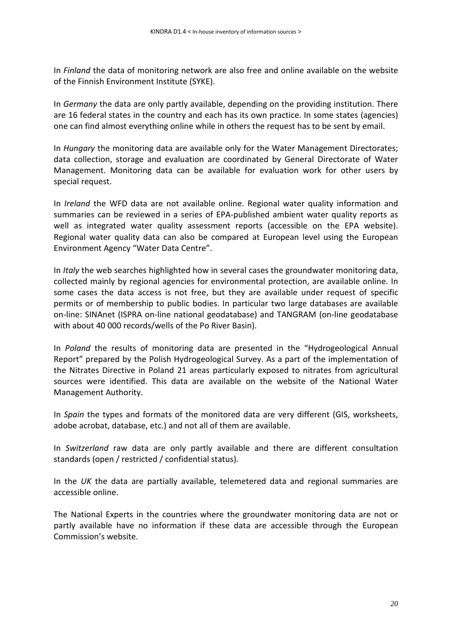In *Finland* the data of monitoring network are also free and online available on the website of the Finnish Environment Institute (SYKE).

In *Germany* the data are only partly available, depending on the providing institution. There are 16 federal states in the country and each has its own practice. In some states (agencies) one can find almost everything online while in others the request has to be sent by email.

In *Hungary* the monitoring data are available only for the Water Management Directorates; data collection, storage and evaluation are coordinated by General Directorate of Water Management. Monitoring data can be available for evaluation work for other users by special request.

In *Ireland* the WFD data are not available online. Regional water quality information and summaries can be reviewed in a series of EPA-published ambient water quality reports as well as integrated water quality assessment reports (accessible on the EPA website). Regional water quality data can also be compared at European level using the European Environment Agency "Water Data Centre".

In *Italy* the web searches highlighted how in several cases the groundwater monitoring data, collected mainly by regional agencies for environmental protection, are available online. In some cases the data access is not free, but they are available under request of specific permits or of membership to public bodies. In particular two large databases are available on-line: SINAnet (ISPRA on-line national geodatabase) and TANGRAM (on-line geodatabase with about 40 000 records/wells of the Po River Basin).

In *Poland* the results of monitoring data are presented in the "Hydrogeological Annual Report" prepared by the Polish Hydrogeological Survey. As a part of the implementation of the Nitrates Directive in Poland 21 areas particularly exposed to nitrates from agricultural sources were identified. This data are available on the website of the National Water Management Authority.

In *Spain* the types and formats of the monitored data are very different (GIS, worksheets, adobe acrobat, database, etc.) and not all of them are available.

In *Switzerland* raw data are only partly available and there are different consultation standards (open / restricted / confidential status).

In the *UK* the data are partially available, telemetered data and regional summaries are accessible online.

The National Experts in the countries where the groundwater monitoring data are not or partly available have no information if these data are accessible through the European Commission's website.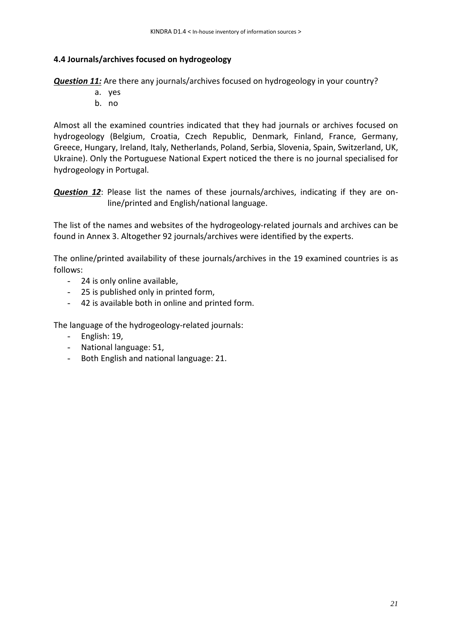### **4.4 Journals/archives focused on hydrogeology**

*Question 11:* Are there any journals/archives focused on hydrogeology in your country?

- a. yes
- b. no

Almost all the examined countries indicated that they had journals or archives focused on hydrogeology (Belgium, Croatia, Czech Republic, Denmark, Finland, France, Germany, Greece, Hungary, Ireland, Italy, Netherlands, Poland, Serbia, Slovenia, Spain, Switzerland, UK, Ukraine). Only the Portuguese National Expert noticed the there is no journal specialised for hydrogeology in Portugal.

*Question 12*: Please list the names of these journals/archives, indicating if they are online/printed and English/national language.

The list of the names and websites of the hydrogeology-related journals and archives can be found in Annex 3. Altogether 92 journals/archives were identified by the experts.

The online/printed availability of these journals/archives in the 19 examined countries is as follows:

- 24 is only online available,
- 25 is published only in printed form,
- 42 is available both in online and printed form.

The language of the hydrogeology-related journals:

- English: 19,
- National language: 51,
- Both English and national language: 21.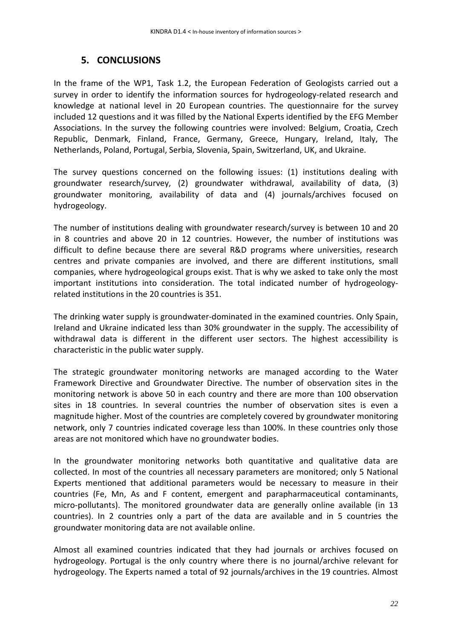### **5. CONCLUSIONS**

In the frame of the WP1, Task 1.2, the European Federation of Geologists carried out a survey in order to identify the information sources for hydrogeology-related research and knowledge at national level in 20 European countries. The questionnaire for the survey included 12 questions and it was filled by the National Experts identified by the EFG Member Associations. In the survey the following countries were involved: Belgium, Croatia, Czech Republic, Denmark, Finland, France, Germany, Greece, Hungary, Ireland, Italy, The Netherlands, Poland, Portugal, Serbia, Slovenia, Spain, Switzerland, UK, and Ukraine.

The survey questions concerned on the following issues: (1) institutions dealing with groundwater research/survey, (2) groundwater withdrawal, availability of data, (3) groundwater monitoring, availability of data and (4) journals/archives focused on hydrogeology.

The number of institutions dealing with groundwater research/survey is between 10 and 20 in 8 countries and above 20 in 12 countries. However, the number of institutions was difficult to define because there are several R&D programs where universities, research centres and private companies are involved, and there are different institutions, small companies, where hydrogeological groups exist. That is why we asked to take only the most important institutions into consideration. The total indicated number of hydrogeologyrelated institutions in the 20 countries is 351.

The drinking water supply is groundwater-dominated in the examined countries. Only Spain, Ireland and Ukraine indicated less than 30% groundwater in the supply. The accessibility of withdrawal data is different in the different user sectors. The highest accessibility is characteristic in the public water supply.

The strategic groundwater monitoring networks are managed according to the Water Framework Directive and Groundwater Directive. The number of observation sites in the monitoring network is above 50 in each country and there are more than 100 observation sites in 18 countries. In several countries the number of observation sites is even a magnitude higher. Most of the countries are completely covered by groundwater monitoring network, only 7 countries indicated coverage less than 100%. In these countries only those areas are not monitored which have no groundwater bodies.

In the groundwater monitoring networks both quantitative and qualitative data are collected. In most of the countries all necessary parameters are monitored; only 5 National Experts mentioned that additional parameters would be necessary to measure in their countries (Fe, Mn, As and F content, emergent and parapharmaceutical contaminants, micro-pollutants). The monitored groundwater data are generally online available (in 13 countries). In 2 countries only a part of the data are available and in 5 countries the groundwater monitoring data are not available online.

Almost all examined countries indicated that they had journals or archives focused on hydrogeology. Portugal is the only country where there is no journal/archive relevant for hydrogeology. The Experts named a total of 92 journals/archives in the 19 countries. Almost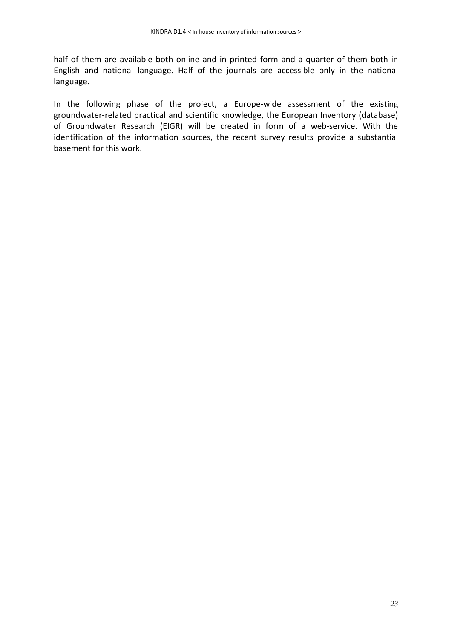half of them are available both online and in printed form and a quarter of them both in English and national language. Half of the journals are accessible only in the national language.

In the following phase of the project, a Europe-wide assessment of the existing groundwater-related practical and scientific knowledge, the European Inventory (database) of Groundwater Research (EIGR) will be created in form of a web-service. With the identification of the information sources, the recent survey results provide a substantial basement for this work.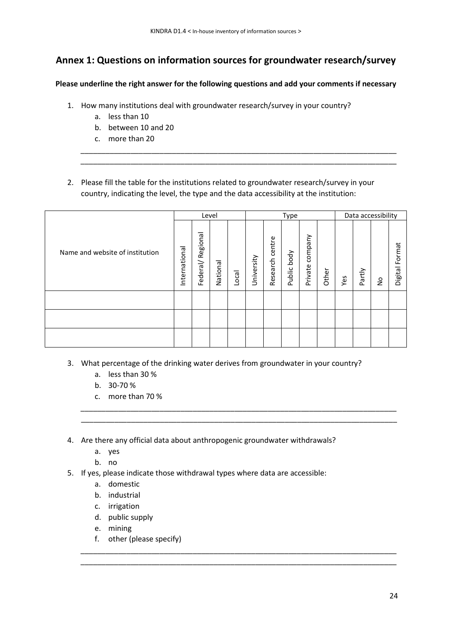# **Annex 1: Questions on information sources for groundwater research/survey**

**Please underline the right answer for the following questions and add your comments if necessary**

- 1. How many institutions deal with groundwater research/survey in your country?
	- a. less than 10
	- b. between 10 and 20
	- c. more than 20
- 2. Please fill the table for the institutions related to groundwater research/survey in your country, indicating the level, the type and the data accessibility at the institution:

\_\_\_\_\_\_\_\_\_\_\_\_\_\_\_\_\_\_\_\_\_\_\_\_\_\_\_\_\_\_\_\_\_\_\_\_\_\_\_\_\_\_\_\_\_\_\_\_\_\_\_\_\_\_\_\_\_\_\_\_\_\_\_\_\_\_\_\_\_\_\_\_\_\_\_\_ \_\_\_\_\_\_\_\_\_\_\_\_\_\_\_\_\_\_\_\_\_\_\_\_\_\_\_\_\_\_\_\_\_\_\_\_\_\_\_\_\_\_\_\_\_\_\_\_\_\_\_\_\_\_\_\_\_\_\_\_\_\_\_\_\_\_\_\_\_\_\_\_\_\_\_\_

|                                 |               |                  | Level    |       | Data accessibility |                    |                |                    |       |     |        |   |                   |
|---------------------------------|---------------|------------------|----------|-------|--------------------|--------------------|----------------|--------------------|-------|-----|--------|---|-------------------|
| Name and website of institution | International | Federal/Regional | National | Local | University         | centre<br>Research | body<br>Public | company<br>Private | Other | Yes | Partly | ş | Format<br>Digital |
|                                 |               |                  |          |       |                    |                    |                |                    |       |     |        |   |                   |
|                                 |               |                  |          |       |                    |                    |                |                    |       |     |        |   |                   |
|                                 |               |                  |          |       |                    |                    |                |                    |       |     |        |   |                   |

3. What percentage of the drinking water derives from groundwater in your country?

\_\_\_\_\_\_\_\_\_\_\_\_\_\_\_\_\_\_\_\_\_\_\_\_\_\_\_\_\_\_\_\_\_\_\_\_\_\_\_\_\_\_\_\_\_\_\_\_\_\_\_\_\_\_\_\_\_\_\_\_\_\_\_\_\_\_\_\_\_\_\_\_\_\_\_\_ \_\_\_\_\_\_\_\_\_\_\_\_\_\_\_\_\_\_\_\_\_\_\_\_\_\_\_\_\_\_\_\_\_\_\_\_\_\_\_\_\_\_\_\_\_\_\_\_\_\_\_\_\_\_\_\_\_\_\_\_\_\_\_\_\_\_\_\_\_\_\_\_\_\_\_\_

\_\_\_\_\_\_\_\_\_\_\_\_\_\_\_\_\_\_\_\_\_\_\_\_\_\_\_\_\_\_\_\_\_\_\_\_\_\_\_\_\_\_\_\_\_\_\_\_\_\_\_\_\_\_\_\_\_\_\_\_\_\_\_\_\_\_\_\_\_\_\_\_\_\_\_\_ \_\_\_\_\_\_\_\_\_\_\_\_\_\_\_\_\_\_\_\_\_\_\_\_\_\_\_\_\_\_\_\_\_\_\_\_\_\_\_\_\_\_\_\_\_\_\_\_\_\_\_\_\_\_\_\_\_\_\_\_\_\_\_\_\_\_\_\_\_\_\_\_\_\_\_\_

- a. less than 30 %
- b. 30-70 %
- c. more than 70 %
- 4. Are there any official data about anthropogenic groundwater withdrawals?
	- a. yes
	- b. no
- 5. If yes, please indicate those withdrawal types where data are accessible:
	- a. domestic
	- b. industrial
	- c. irrigation
	- d. public supply
	- e. mining
	- f. other (please specify)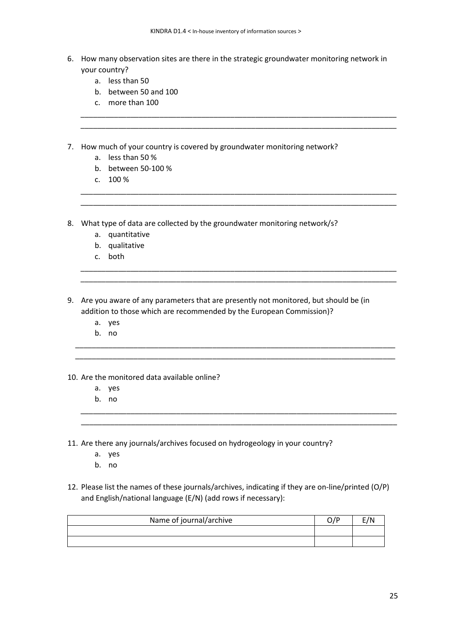6. How many observation sites are there in the strategic groundwater monitoring network in your country?

\_\_\_\_\_\_\_\_\_\_\_\_\_\_\_\_\_\_\_\_\_\_\_\_\_\_\_\_\_\_\_\_\_\_\_\_\_\_\_\_\_\_\_\_\_\_\_\_\_\_\_\_\_\_\_\_\_\_\_\_\_\_\_\_\_\_\_\_\_\_\_\_\_\_\_\_ \_\_\_\_\_\_\_\_\_\_\_\_\_\_\_\_\_\_\_\_\_\_\_\_\_\_\_\_\_\_\_\_\_\_\_\_\_\_\_\_\_\_\_\_\_\_\_\_\_\_\_\_\_\_\_\_\_\_\_\_\_\_\_\_\_\_\_\_\_\_\_\_\_\_\_\_

\_\_\_\_\_\_\_\_\_\_\_\_\_\_\_\_\_\_\_\_\_\_\_\_\_\_\_\_\_\_\_\_\_\_\_\_\_\_\_\_\_\_\_\_\_\_\_\_\_\_\_\_\_\_\_\_\_\_\_\_\_\_\_\_\_\_\_\_\_\_\_\_\_\_\_\_ \_\_\_\_\_\_\_\_\_\_\_\_\_\_\_\_\_\_\_\_\_\_\_\_\_\_\_\_\_\_\_\_\_\_\_\_\_\_\_\_\_\_\_\_\_\_\_\_\_\_\_\_\_\_\_\_\_\_\_\_\_\_\_\_\_\_\_\_\_\_\_\_\_\_\_\_

\_\_\_\_\_\_\_\_\_\_\_\_\_\_\_\_\_\_\_\_\_\_\_\_\_\_\_\_\_\_\_\_\_\_\_\_\_\_\_\_\_\_\_\_\_\_\_\_\_\_\_\_\_\_\_\_\_\_\_\_\_\_\_\_\_\_\_\_\_\_\_\_\_\_\_\_ \_\_\_\_\_\_\_\_\_\_\_\_\_\_\_\_\_\_\_\_\_\_\_\_\_\_\_\_\_\_\_\_\_\_\_\_\_\_\_\_\_\_\_\_\_\_\_\_\_\_\_\_\_\_\_\_\_\_\_\_\_\_\_\_\_\_\_\_\_\_\_\_\_\_\_\_

\_\_\_\_\_\_\_\_\_\_\_\_\_\_\_\_\_\_\_\_\_\_\_\_\_\_\_\_\_\_\_\_\_\_\_\_\_\_\_\_\_\_\_\_\_\_\_\_\_\_\_\_\_\_\_\_\_\_\_\_\_\_\_\_\_\_\_\_\_\_\_\_\_\_\_\_\_ \_\_\_\_\_\_\_\_\_\_\_\_\_\_\_\_\_\_\_\_\_\_\_\_\_\_\_\_\_\_\_\_\_\_\_\_\_\_\_\_\_\_\_\_\_\_\_\_\_\_\_\_\_\_\_\_\_\_\_\_\_\_\_\_\_\_\_\_\_\_\_\_\_\_\_\_\_

\_\_\_\_\_\_\_\_\_\_\_\_\_\_\_\_\_\_\_\_\_\_\_\_\_\_\_\_\_\_\_\_\_\_\_\_\_\_\_\_\_\_\_\_\_\_\_\_\_\_\_\_\_\_\_\_\_\_\_\_\_\_\_\_\_\_\_\_\_\_\_\_\_\_\_\_ \_\_\_\_\_\_\_\_\_\_\_\_\_\_\_\_\_\_\_\_\_\_\_\_\_\_\_\_\_\_\_\_\_\_\_\_\_\_\_\_\_\_\_\_\_\_\_\_\_\_\_\_\_\_\_\_\_\_\_\_\_\_\_\_\_\_\_\_\_\_\_\_\_\_\_\_

- a. less than 50
- b. between 50 and 100
- c. more than 100
- 7. How much of your country is covered by groundwater monitoring network?
	- a. less than 50 %
	- b. between 50-100 %
	- c. 100 %
- 8. What type of data are collected by the groundwater monitoring network/s?
	- a. quantitative
	- b. qualitative
	- c. both
- 9. Are you aware of any parameters that are presently not monitored, but should be (in addition to those which are recommended by the European Commission)?
	- a. yes
	- b. no

#### 10. Are the monitored data available online?

- a. yes
- b. no
- 11. Are there any journals/archives focused on hydrogeology in your country?
	- a. yes
	- b. no
- 12. Please list the names of these journals/archives, indicating if they are on-line/printed (O/P) and English/national language (E/N) (add rows if necessary):

| Name of journal/archive |  |
|-------------------------|--|
|                         |  |
|                         |  |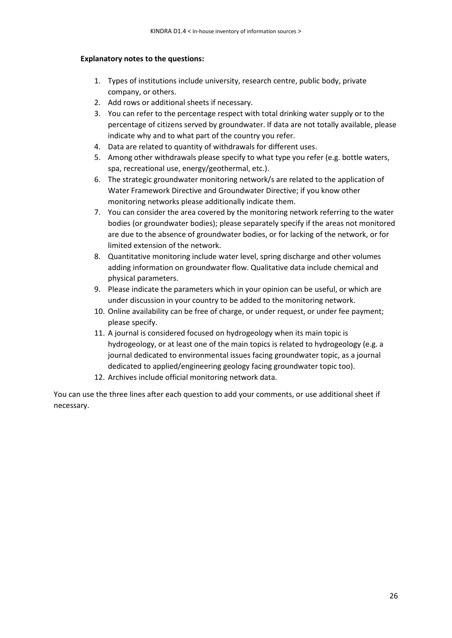#### **Explanatory notes to the questions:**

- 1. Types of institutions include university, research centre, public body, private company, or others.
- 2. Add rows or additional sheets if necessary.
- 3. You can refer to the percentage respect with total drinking water supply or to the percentage of citizens served by groundwater. If data are not totally available, please indicate why and to what part of the country you refer.
- 4. Data are related to quantity of withdrawals for different uses.
- 5. Among other withdrawals please specify to what type you refer (e.g. bottle waters, spa, recreational use, energy/geothermal, etc.).
- 6. The strategic groundwater monitoring network/s are related to the application of Water Framework Directive and Groundwater Directive; if you know other monitoring networks please additionally indicate them.
- 7. You can consider the area covered by the monitoring network referring to the water bodies (or groundwater bodies); please separately specify if the areas not monitored are due to the absence of groundwater bodies, or for lacking of the network, or for limited extension of the network.
- 8. Quantitative monitoring include water level, spring discharge and other volumes adding information on groundwater flow. Qualitative data include chemical and physical parameters.
- 9. Please indicate the parameters which in your opinion can be useful, or which are under discussion in your country to be added to the monitoring network.
- 10. Online availability can be free of charge, or under request, or under fee payment; please specify.
- 11. A journal is considered focused on hydrogeology when its main topic is hydrogeology, or at least one of the main topics is related to hydrogeology (e.g. a journal dedicated to environmental issues facing groundwater topic, as a journal dedicated to applied/engineering geology facing groundwater topic too).
- 12. Archives include official monitoring network data.

You can use the three lines after each question to add your comments, or use additional sheet if necessary.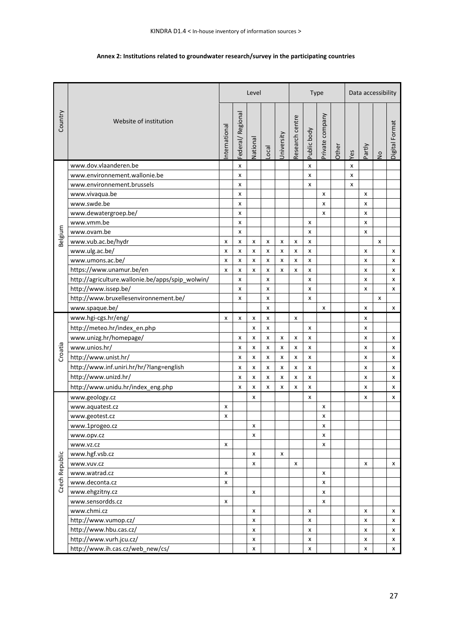#### **Annex 2: Institutions related to groundwater research/survey in the participating countries**

|                |                                                  |              |                  | Level    |                   |            |                 | Type        |                 |       | Data accessibility |        |               |                |  |  |
|----------------|--------------------------------------------------|--------------|------------------|----------|-------------------|------------|-----------------|-------------|-----------------|-------|--------------------|--------|---------------|----------------|--|--|
| Country        | Website of institution                           | nternational | Federal/Regional | National | $_{\text{Local}}$ | University | Research centre | Public body | Private company | Other | Yes                | Partly | $\frac{1}{2}$ | Digital Format |  |  |
|                | www.dov.vlaanderen.be                            |              | x                |          |                   |            |                 | x           |                 |       | x                  |        |               |                |  |  |
|                | www.environnement.wallonie.be                    |              | x                |          |                   |            |                 | x           |                 |       | x                  |        |               |                |  |  |
|                | www.environnement.brussels                       |              | X                |          |                   |            |                 | x           |                 |       | X                  |        |               |                |  |  |
|                | www.vivaqua.be                                   |              | X                |          |                   |            |                 |             | x               |       |                    | X      |               |                |  |  |
|                | www.swde.be                                      |              | x                |          |                   |            |                 |             | x               |       |                    | x      |               |                |  |  |
|                | www.dewatergroep.be/                             |              | x                |          |                   |            |                 |             | x               |       |                    | x      |               |                |  |  |
|                | www.vmm.be                                       |              | x                |          |                   |            |                 | x           |                 |       |                    | x      |               |                |  |  |
| Belgium        | www.ovam.be                                      |              | x                |          |                   |            |                 | x           |                 |       |                    | x      |               |                |  |  |
|                | www.vub.ac.be/hydr                               | x            | X                | x        | x                 | x          | x               | x           |                 |       |                    |        | X             |                |  |  |
|                | www.ulg.ac.be/                                   | x            | X                | x        | x                 | x          | x               | x           |                 |       |                    | x      |               | x              |  |  |
|                | www.umons.ac.be/                                 | x            | X                | x        | X                 | x          | x               | x           |                 |       |                    | X      |               | x              |  |  |
|                | https://www.unamur.be/en                         | x            | $\pmb{\times}$   | x        | $\pmb{\times}$    | x          | x               | x           |                 |       |                    | x      |               | X              |  |  |
|                | http://agriculture.wallonie.be/apps/spip_wolwin/ |              | x                |          | x                 |            |                 | x           |                 |       |                    | x      |               | x              |  |  |
|                | http://www.issep.be/                             |              | x                |          | x                 |            |                 | x           |                 |       |                    | x      |               | x              |  |  |
|                | http://www.bruxellesenvironnement.be/            |              | x                |          | X                 |            |                 | x           |                 |       |                    |        | X             |                |  |  |
|                | www.spaque.be/                                   |              |                  |          | X                 |            |                 |             | x               |       |                    | X      |               | X              |  |  |
|                | www.hgi-cgs.hr/eng/                              | x            | x                | x        | x                 |            | x               |             |                 |       |                    | x      |               |                |  |  |
|                | http://meteo.hr/index_en.php                     |              |                  | x        | X                 |            |                 | x           |                 |       |                    | x      |               |                |  |  |
|                | www.unizg.hr/homepage/                           |              | x                | x        | x                 | x          | x               | x           |                 |       |                    | x      |               | x              |  |  |
|                | www.unios.hr/                                    |              | x                | x        | x                 | x          | $\pmb{\times}$  | x           |                 |       |                    | x      |               | x              |  |  |
| Croatia        | http://www.unist.hr/                             |              |                  |          |                   |            |                 |             |                 |       |                    |        |               |                |  |  |
|                |                                                  |              | X                | x        | x                 | x          | x               | x           |                 |       |                    | X      |               | X              |  |  |
|                | http://www.inf.uniri.hr/hr/?lang=english         |              | x                | x        | x                 | x          | x               | x           |                 |       |                    | x      |               | x              |  |  |
|                | http://www.unizd.hr/                             |              | x                | x        | x                 | x          | x               | x           |                 |       |                    | x      |               | x              |  |  |
|                | http://www.unidu.hr/index_eng.php                |              | x                | x        | x                 | x          | x               | x           |                 |       |                    | x      |               | x              |  |  |
|                | www.geology.cz                                   |              |                  | x        |                   |            |                 | x           |                 |       |                    | x      |               | x              |  |  |
|                | www.aquatest.cz                                  | x            |                  |          |                   |            |                 |             | x               |       |                    |        |               |                |  |  |
|                | www.geotest.cz                                   | x            |                  |          |                   |            |                 |             | x               |       |                    |        |               |                |  |  |
|                | www.1progeo.cz                                   |              |                  | x        |                   |            |                 |             | X               |       |                    |        |               |                |  |  |
|                | www.opv.cz                                       |              |                  | x        |                   |            |                 |             | X               |       |                    |        |               |                |  |  |
|                | www.vz.cz                                        | x            |                  |          |                   |            |                 |             | X               |       |                    |        |               |                |  |  |
|                | www.hgf.vsb.cz                                   |              |                  | x        |                   | X          |                 |             |                 |       |                    |        |               |                |  |  |
|                | www.vuv.cz                                       |              |                  | x        |                   |            | x               |             |                 |       |                    | x      |               | x              |  |  |
| Czech Republic | www.watrad.cz                                    | x            |                  |          |                   |            |                 |             | x               |       |                    |        |               |                |  |  |
|                | www.deconta.cz                                   | x            |                  |          |                   |            |                 |             | x               |       |                    |        |               |                |  |  |
|                | www.ehgzitny.cz                                  |              |                  | x        |                   |            |                 |             | x               |       |                    |        |               |                |  |  |
|                | www.sensordds.cz                                 | x            |                  |          |                   |            |                 |             | x               |       |                    |        |               |                |  |  |
|                | www.chmi.cz                                      |              |                  | x        |                   |            |                 | x           |                 |       |                    | x      |               | x              |  |  |
|                | http://www.vumop.cz/                             |              |                  | x        |                   |            |                 | x           |                 |       |                    | x      |               | x              |  |  |
|                | http://www.hbu.cas.cz/                           |              |                  | x        |                   |            |                 | x           |                 |       |                    | x      |               | x              |  |  |
|                | http://www.vurh.jcu.cz/                          |              |                  | x        |                   |            |                 | x           |                 |       |                    | x      |               | x              |  |  |
|                | http://www.ih.cas.cz/web_new/cs/                 |              |                  | X        |                   |            |                 | X           |                 |       |                    | X      |               | X              |  |  |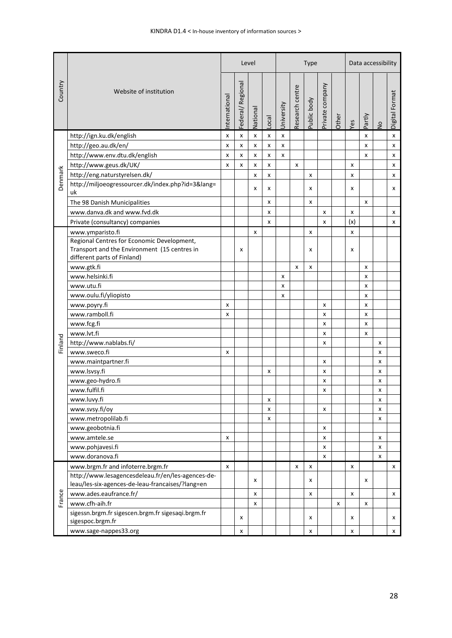|         |                                                                                                                           |                |                  | Level    |       |            |                 | <b>Type</b> |                 |       |     | Data accessibility |               |                |
|---------|---------------------------------------------------------------------------------------------------------------------------|----------------|------------------|----------|-------|------------|-----------------|-------------|-----------------|-------|-----|--------------------|---------------|----------------|
| Country | Website of institution                                                                                                    | nternational   | Federal/Regional | National | Local | University | Research centre | Public body | Private company | Other | Yes | Partly             | $\frac{1}{2}$ | Digital Format |
|         | http://ign.ku.dk/english                                                                                                  | x              | x                | x        | X     | x          |                 |             |                 |       |     | x                  |               | x              |
|         | http://geo.au.dk/en/                                                                                                      | X              | x                | x        | x     | x          |                 |             |                 |       |     | x                  |               | x              |
|         | http://www.env.dtu.dk/english                                                                                             | $\pmb{\times}$ | x                | x        | x     | x          |                 |             |                 |       |     | $\boldsymbol{x}$   |               | x              |
|         | http://www.geus.dk/UK/                                                                                                    | X              | x                | x        | x     |            | x               |             |                 |       | x   |                    |               | x              |
|         | http://eng.naturstyrelsen.dk/                                                                                             |                |                  | x        | x     |            |                 | x           |                 |       | x   |                    |               | x              |
| Denmark | http://miljoeogressourcer.dk/index.php?id=3⟨=<br>uk                                                                       |                |                  | x        | x     |            |                 | x           |                 |       | x   |                    |               | x              |
|         | The 98 Danish Municipalities                                                                                              |                |                  |          | x     |            |                 | x           |                 |       |     | x                  |               |                |
|         | www.danya.dk and www.fyd.dk                                                                                               |                |                  |          | x     |            |                 |             | x               |       | x   |                    |               | X              |
|         | Private (consultancy) companies                                                                                           |                |                  |          | x     |            |                 |             | X               |       | (x) |                    |               | x              |
|         | www.ymparisto.fi                                                                                                          |                |                  | x        |       |            |                 | x           |                 |       | x   |                    |               |                |
|         | Regional Centres for Economic Development,<br>Transport and the Environment (15 centres in<br>different parts of Finland) |                | x                |          |       |            |                 | x           |                 |       | x   |                    |               |                |
|         | www.gtk.fi                                                                                                                |                |                  |          |       |            | x               | x           |                 |       |     | x                  |               |                |
|         | www.helsinki.fi                                                                                                           |                |                  |          |       | x          |                 |             |                 |       |     | x                  |               |                |
|         | www.utu.fi                                                                                                                |                |                  |          |       | x          |                 |             |                 |       |     | x                  |               |                |
|         | www.oulu.fi/yliopisto                                                                                                     |                |                  |          |       | x          |                 |             |                 |       |     | x                  |               |                |
|         | www.poyry.fi                                                                                                              | x              |                  |          |       |            |                 |             | x               |       |     | x                  |               |                |
|         | www.ramboll.fi                                                                                                            | X              |                  |          |       |            |                 |             | x               |       |     | x                  |               |                |
|         | www.fcg.fi                                                                                                                |                |                  |          |       |            |                 |             | x               |       |     | x                  |               |                |
|         | www.lvt.fi                                                                                                                |                |                  |          |       |            |                 |             | x               |       |     | X                  |               |                |
| Finland | http://www.nablabs.fi/                                                                                                    |                |                  |          |       |            |                 |             | x               |       |     |                    | x             |                |
|         | www.sweco.fi                                                                                                              | X              |                  |          |       |            |                 |             |                 |       |     |                    | x             |                |
|         | www.maintpartner.fi                                                                                                       |                |                  |          |       |            |                 |             | x               |       |     |                    | x             |                |
|         | www.lsvsy.fi                                                                                                              |                |                  |          | x     |            |                 |             | x               |       |     |                    | X             |                |
|         | www.geo-hydro.fi                                                                                                          |                |                  |          |       |            |                 |             | x               |       |     |                    | x             |                |
|         | www.fulfil.fi                                                                                                             |                |                  |          |       |            |                 |             | x               |       |     |                    | x             |                |
|         | www.luvy.fi                                                                                                               |                |                  |          | x     |            |                 |             |                 |       |     |                    | x             |                |
|         | www.svsy.fi/oy                                                                                                            |                |                  |          | x     |            |                 |             | x               |       |     |                    | x             |                |
|         | www.metropolilab.fi                                                                                                       |                |                  |          | X     |            |                 |             |                 |       |     |                    | x             |                |
|         | www.geobotnia.fi                                                                                                          |                |                  |          |       |            |                 |             | x               |       |     |                    |               |                |
|         | www.amtele.se                                                                                                             | х              |                  |          |       |            |                 |             | x               |       |     |                    | x             |                |
|         | www.pohjavesi.fi                                                                                                          |                |                  |          |       |            |                 |             | x               |       |     |                    | x             |                |
|         | www.doranova.fi                                                                                                           |                |                  |          |       |            |                 |             | x               |       |     |                    | x             |                |
|         | www.brgm.fr and infoterre.brgm.fr                                                                                         | X              |                  |          |       |            | x               | x           |                 |       | x   |                    |               | x              |
|         | http://www.lesagencesdeleau.fr/en/les-agences-de-<br>leau/les-six-agences-de-leau-francaises/?lang=en                     |                |                  | x        |       |            |                 | x           |                 |       |     | x                  |               |                |
|         | www.ades.eaufrance.fr/                                                                                                    |                |                  | x        |       |            |                 | x           |                 |       | X   |                    |               | x              |
| France  | www.cfh-aih.fr                                                                                                            |                |                  | x        |       |            |                 |             |                 | x     |     | X                  |               |                |
|         | sigessn.brgm.fr sigescen.brgm.fr sigesaqi.brgm.fr<br>sigespoc.brgm.fr                                                     |                | x                |          |       |            |                 | x           |                 |       | x   |                    |               | x              |
|         | www.sage-nappes33.org                                                                                                     |                | x                |          |       |            |                 | x           |                 |       | x   |                    |               | x              |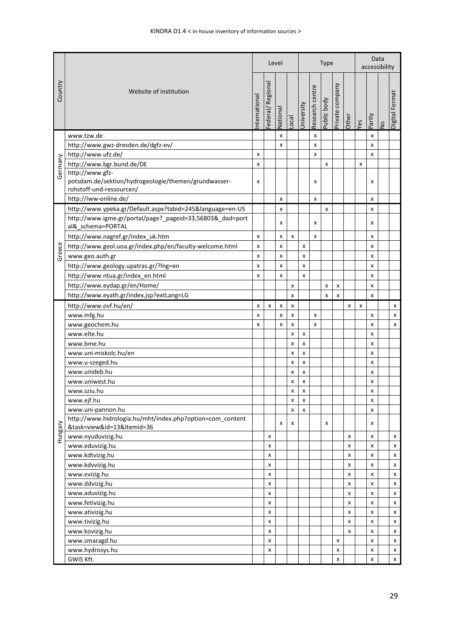|         |                                                                                                     |                    |                  | Level    |       |              |                 | <b>Type</b> | Data<br>accessibility |       |     |                           |               |                     |
|---------|-----------------------------------------------------------------------------------------------------|--------------------|------------------|----------|-------|--------------|-----------------|-------------|-----------------------|-------|-----|---------------------------|---------------|---------------------|
| Country | Website of institution                                                                              | nternational       | Federal/Regional | National | Local | University   | Research centre | Public body | Private company       | Other | Yes | Partly                    | $\frac{1}{2}$ | Format<br>Digital F |
|         | www.tzw.de                                                                                          |                    |                  | x        |       |              | X               |             |                       |       |     | x                         |               |                     |
|         | http://www.gwz-dresden.de/dgfz-ev/                                                                  |                    |                  | X        |       |              | x               |             |                       |       |     | x                         |               |                     |
|         | http://www.ufz.de/                                                                                  | x                  |                  |          |       |              | x               |             |                       |       |     | x                         |               |                     |
|         | http://www.bgr.bund.de/DE                                                                           | X                  |                  |          |       |              |                 | x           |                       |       | x   |                           |               |                     |
| Germany | http://www.gfz-<br>potsdam.de/sektion/hydrogeologie/themen/grundwasser-<br>rohstoff-und-ressourcen/ | x                  |                  |          |       |              | x               |             |                       |       |     | x                         |               |                     |
|         | http://iww-online.de/                                                                               |                    |                  | x        |       |              | x               |             |                       |       |     | x                         |               |                     |
|         | http://www.ypeka.gr/Default.aspx?tabid=245&language=en-US                                           |                    |                  | x        |       |              |                 | x           |                       |       |     | x                         |               |                     |
|         | http://www.igme.gr/portal/page?_pageid=33,56803&_dad=port<br>al& schema=PORTAL                      |                    |                  | x        |       |              | x               |             |                       |       |     | x                         |               |                     |
|         | http://www.nagref.gr/index_uk.htm                                                                   | $\pmb{\mathsf{x}}$ |                  | x        | x     |              | x               |             |                       |       |     | x                         |               |                     |
|         | http://www.geol.uoa.gr/index.php/en/faculty-welcome.html                                            | x                  |                  | X        |       | x            |                 |             |                       |       |     | x                         |               |                     |
| Greece  | www.geo.auth.gr                                                                                     | x                  |                  | x        |       | x            |                 |             |                       |       |     | x                         |               |                     |
|         | http://www.geology.upatras.gr/?lng=en                                                               | x                  |                  | x        |       | x            |                 |             |                       |       |     | x                         |               |                     |
|         | http://www.ntua.gr/index_en.html                                                                    | X                  |                  | X        |       | X            |                 |             |                       |       |     | $\boldsymbol{\mathsf{x}}$ |               |                     |
|         |                                                                                                     |                    |                  |          | x     |              |                 | x           | x                     |       |     | x                         |               |                     |
|         | http://www.eydap.gr/en/Home/                                                                        |                    |                  |          |       |              |                 |             |                       |       |     |                           |               |                     |
|         | http://www.eyath.gr/index.jsp?extLang=LG                                                            |                    |                  |          | x     |              |                 | x           | x                     |       |     | x                         |               |                     |
|         | http://www.ovf.hu/en/                                                                               | X                  | x                | x        | x     |              |                 |             |                       | X     | x   |                           |               | x                   |
|         | www.mfg.hu                                                                                          | x                  |                  | x        | x     |              | X               |             |                       |       |     | x                         |               | X                   |
|         | www.geochem.hu                                                                                      | x                  |                  | x        | X     |              | x               |             |                       |       |     | x                         |               | X                   |
|         | www.elte.hu                                                                                         |                    |                  |          | x     | X            |                 |             |                       |       |     | x                         |               |                     |
|         | www.bme.hu                                                                                          |                    |                  |          | x     | X            |                 |             |                       |       |     | x                         |               |                     |
|         | www.uni-miskolc.hu/en                                                                               |                    |                  |          | X     | x            |                 |             |                       |       |     | x                         |               |                     |
|         | www.u-szeged.hu                                                                                     |                    |                  |          | x     | x            |                 |             |                       |       |     | x                         |               |                     |
|         | www.unideb.hu                                                                                       |                    |                  |          | x     | x            |                 |             |                       |       |     | x                         |               |                     |
|         | www.uniwest.hu                                                                                      |                    |                  |          | X     | X            |                 |             |                       |       |     | x                         |               |                     |
|         | www.sziu.hu                                                                                         |                    |                  |          | X     | $\mathsf{x}$ |                 |             |                       |       |     | X                         |               |                     |
|         | www.ejf.hu                                                                                          |                    |                  |          | X     | X            |                 |             |                       |       |     | X                         |               |                     |
|         | www.uni-pannon.hu                                                                                   |                    |                  |          | x     | x            |                 |             |                       |       |     | x                         |               |                     |
| Hungary | http://www.hidrologia.hu/mht/index.php?option=com_content<br>&task=view&id=13&Itemid=36             |                    |                  | x        | x     |              |                 | x           |                       |       |     | х                         |               |                     |
|         | www.nyuduvizig.hu                                                                                   |                    | x                |          |       |              |                 |             |                       | x     |     | x                         |               | x                   |
|         | www.eduvizig.hu                                                                                     |                    | x                |          |       |              |                 |             |                       | X     |     | x                         |               | x                   |
|         | www.kdtvizig.hu                                                                                     |                    | x                |          |       |              |                 |             |                       | X     |     | x                         |               | x                   |
|         | www.kdvvizig.hu                                                                                     |                    | x                |          |       |              |                 |             |                       | x     |     | x                         |               | x                   |
|         | www.evizig.hu                                                                                       |                    | x                |          |       |              |                 |             |                       | x     |     | x                         |               | X                   |
|         | www.ddvizig.hu                                                                                      |                    | x                |          |       |              |                 |             |                       | X     |     | x                         |               | X                   |
|         | www.aduvizig.hu                                                                                     |                    | x                |          |       |              |                 |             |                       | x     |     | x                         |               | X                   |
|         | www.fetivizig.hu                                                                                    |                    | x                |          |       |              |                 |             |                       | X     |     | x                         |               | X                   |
|         | www.ativizig.hu                                                                                     |                    | x                |          |       |              |                 |             |                       | x     |     | x                         |               | x                   |
|         | www.tivizig.hu                                                                                      |                    | x                |          |       |              |                 |             |                       | X     |     | x                         |               | x                   |
|         | www.kovizig.hu                                                                                      |                    | x                |          |       |              |                 |             |                       | x     |     | x                         |               | x                   |
|         | www.smaragd.hu                                                                                      |                    | x                |          |       |              |                 |             | x                     |       |     | x                         |               | x                   |
|         | www.hydrosys.hu                                                                                     |                    | x                |          |       |              |                 |             | x                     |       |     | x                         |               | X                   |
|         | GWIS Kft.                                                                                           |                    |                  |          |       |              |                 |             | x                     |       |     | x                         |               | X                   |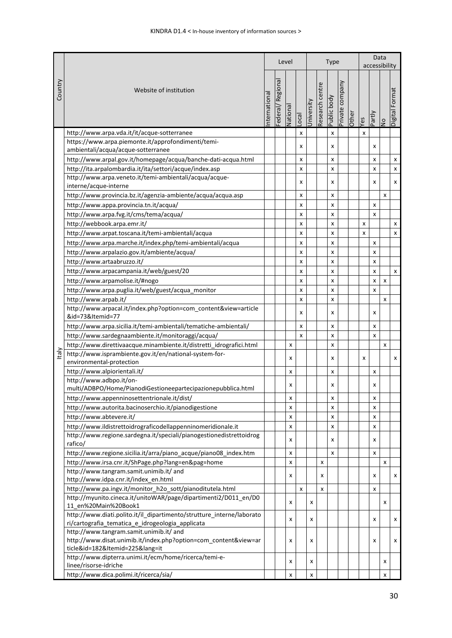|            |                                                                                                                           |              |                     |          |                           | <b>Type</b> |                 |             |                 |       |                | Data<br>accessibility |               |                |  |
|------------|---------------------------------------------------------------------------------------------------------------------------|--------------|---------------------|----------|---------------------------|-------------|-----------------|-------------|-----------------|-------|----------------|-----------------------|---------------|----------------|--|
| Country    | Website of institution                                                                                                    | nternational | Regional<br>ederal/ | Vational | Local                     | Jniversity  | Research centre | Public body | Private company | Other | č9             | Partly                | $\frac{1}{2}$ | Digital Format |  |
|            | http://www.arpa.vda.it/it/acque-sotterranee                                                                               |              |                     |          | $\pmb{\mathsf{x}}$        |             |                 | x           |                 |       | $\pmb{\times}$ |                       |               |                |  |
|            | https://www.arpa.piemonte.it/approfondimenti/temi-                                                                        |              |                     |          |                           |             |                 |             |                 |       |                |                       |               |                |  |
|            | ambientali/acqua/acque-sotterranee                                                                                        |              |                     |          | x                         |             |                 | x           |                 |       |                | x                     |               |                |  |
|            | http://www.arpal.gov.it/homepage/acqua/banche-dati-acqua.html                                                             |              |                     |          | x                         |             |                 | x           |                 |       |                | x                     |               | x              |  |
|            | http://ita.arpalombardia.it/ita/settori/acque/index.asp                                                                   |              |                     |          | X                         |             |                 | x           |                 |       |                | x                     |               | x              |  |
|            | http://www.arpa.veneto.it/temi-ambientali/acqua/acque-                                                                    |              |                     |          | x                         |             |                 | x           |                 |       |                | x                     |               | x              |  |
|            | interne/acque-interne                                                                                                     |              |                     |          |                           |             |                 |             |                 |       |                |                       |               |                |  |
|            | http://www.provincia.bz.it/agenzia-ambiente/acqua/acqua.asp                                                               |              |                     |          | x                         |             |                 | x           |                 |       |                |                       | X             |                |  |
|            | http://www.appa.provincia.tn.it/acqua/                                                                                    |              |                     |          | x                         |             |                 | x           |                 |       |                | x                     |               |                |  |
|            | http://www.arpa.fvg.it/cms/tema/acqua/                                                                                    |              |                     |          | X                         |             |                 | x           |                 |       |                | X                     |               |                |  |
|            | http://webbook.arpa.emr.it/                                                                                               |              |                     |          | X                         |             |                 | x           |                 |       | x              |                       |               | x              |  |
|            | http://www.arpat.toscana.it/temi-ambientali/acqua                                                                         |              |                     |          | X                         |             |                 | x           |                 |       | x              |                       |               | X              |  |
|            | http://www.arpa.marche.it/index.php/temi-ambientali/acqua                                                                 |              |                     |          | x                         |             |                 | x           |                 |       |                | x                     |               |                |  |
|            | http://www.arpalazio.gov.it/ambiente/acqua/                                                                               |              |                     |          | x                         |             |                 | x           |                 |       |                | x                     |               |                |  |
|            | http://www.artaabruzzo.it/                                                                                                |              |                     |          | x                         |             |                 | x           |                 |       |                | x                     |               |                |  |
|            | http://www.arpacampania.it/web/guest/20                                                                                   |              |                     |          | x                         |             |                 | x           |                 |       |                | x                     |               | x              |  |
|            | http://www.arpamolise.it/#nogo                                                                                            |              |                     |          | X                         |             |                 | x           |                 |       |                | X                     | x             |                |  |
|            | http://www.arpa.puglia.it/web/guest/acqua_monitor                                                                         |              |                     |          | x                         |             |                 | x           |                 |       |                | X                     |               |                |  |
|            | http://www.arpab.it/                                                                                                      |              |                     |          | X                         |             |                 | x           |                 |       |                |                       | X             |                |  |
|            | http://www.arpacal.it/index.php?option=com_content&view=article                                                           |              |                     |          | x                         |             |                 |             |                 |       |                |                       |               |                |  |
|            | &id=73&Itemid=77                                                                                                          |              |                     |          |                           |             |                 | x           |                 |       |                | x                     |               |                |  |
|            | http://www.arpa.sicilia.it/temi-ambientali/tematiche-ambientali/                                                          |              |                     |          | X                         |             |                 | x           |                 |       |                | x                     |               |                |  |
|            | http://www.sardegnaambiente.it/monitoraggi/acqua/                                                                         |              |                     |          | $\boldsymbol{\mathsf{x}}$ |             |                 | x           |                 |       |                | X                     |               |                |  |
|            | http://www.direttivaacque.minambiente.it/distretti_idrografici.html                                                       |              |                     | x        |                           |             |                 | x           |                 |       |                |                       | x             |                |  |
| <b>Let</b> | http://www.isprambiente.gov.it/en/national-system-for-                                                                    |              |                     | x        |                           |             |                 | x           |                 |       | x              |                       |               | x              |  |
|            | environmental-protection                                                                                                  |              |                     |          |                           |             |                 |             |                 |       |                |                       |               |                |  |
|            | http://www.alpiorientali.it/                                                                                              |              |                     | X        |                           |             |                 | x           |                 |       |                | x                     |               |                |  |
|            | http://www.adbpo.it/on-                                                                                                   |              |                     | x        |                           |             |                 | x           |                 |       |                | x                     |               |                |  |
|            | multi/ADBPO/Home/PianodiGestioneepartecipazionepubblica.html                                                              |              |                     |          |                           |             |                 |             |                 |       |                |                       |               |                |  |
|            | http://www.appenninosettentrionale.it/dist/                                                                               |              |                     | x        |                           |             |                 | x           |                 |       |                | x                     |               |                |  |
|            | http://www.autorita.bacinoserchio.it/pianodigestione                                                                      |              |                     | x        |                           |             |                 | x           |                 |       |                | x                     |               |                |  |
|            | http://www.abtevere.it/<br>http://www.ildistrettoidrograficodellappenninomeridionale.it                                   |              |                     | x        |                           |             |                 | x           |                 |       |                | x                     |               |                |  |
|            | http://www.regione.sardegna.it/speciali/pianogestionedistrettoidrog                                                       |              |                     | x        |                           |             |                 | x           |                 |       |                | x                     |               |                |  |
|            | rafico/                                                                                                                   |              |                     | x        |                           |             |                 | х           |                 |       |                | х                     |               |                |  |
|            | http://www.regione.sicilia.it/arra/piano_acque/piano08_index.htm                                                          |              |                     | x        |                           |             |                 | x           |                 |       |                | x                     |               |                |  |
|            | http://www.irsa.cnr.it/ShPage.php?lang=en&pag=home                                                                        |              |                     | x        |                           |             | $\pmb{\times}$  |             |                 |       |                |                       | x             |                |  |
|            | http://www.tangram.samit.unimib.it/ and                                                                                   |              |                     |          |                           |             |                 |             |                 |       |                |                       |               |                |  |
|            | http://www.idpa.cnr.it/index_en.html                                                                                      |              |                     | x        |                           |             | х               |             |                 |       |                | x                     |               | x              |  |
|            | http://www.pa.ingv.it/monitor h2o sott/pianoditutela.html                                                                 |              |                     |          | x                         |             | x               |             |                 |       |                | x                     |               |                |  |
|            | http://myunito.cineca.it/unitoWAR/page/dipartimenti2/D011_en/D0                                                           |              |                     | x        |                           | x           |                 |             |                 |       |                |                       | x             |                |  |
|            | 11 en%20Main%20Book1                                                                                                      |              |                     |          |                           |             |                 |             |                 |       |                |                       |               |                |  |
|            | http://www.diati.polito.it/il_dipartimento/strutture_interne/laborato<br>ri/cartografia_tematica_e_idrogeologia_applicata |              |                     | x        |                           | x           |                 |             |                 |       |                | x                     |               | x              |  |
|            | http://www.tangram.samit.unimib.it/ and                                                                                   |              |                     |          |                           |             |                 |             |                 |       |                |                       |               |                |  |
|            | http://www.disat.unimib.it/index.php?option=com_content&view=ar                                                           |              |                     | x        |                           | x           |                 |             |                 |       |                | x                     |               | x              |  |
|            | ticle&id=182&Itemid=225⟨=it                                                                                               |              |                     |          |                           |             |                 |             |                 |       |                |                       |               |                |  |
|            | http://www.dipterra.unimi.it/ecm/home/ricerca/temi-e-                                                                     |              |                     | x        |                           | x           |                 |             |                 |       |                |                       | x             |                |  |
|            | linee/risorse-idriche                                                                                                     |              |                     |          |                           |             |                 |             |                 |       |                |                       |               |                |  |
|            | http://www.dica.polimi.it/ricerca/sia/                                                                                    |              |                     | X        |                           | X           |                 |             |                 |       |                |                       | X             |                |  |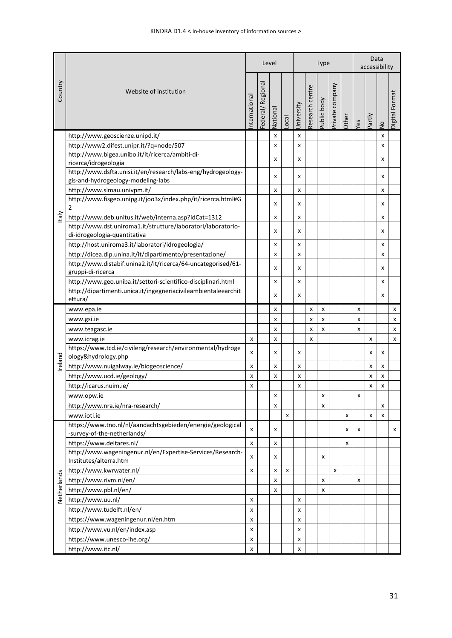|             |                                                                                                    |                |                  | Level                     |       |                    |                 | <b>Type</b> |                 | Data<br>accessibility |     |        |               |                |
|-------------|----------------------------------------------------------------------------------------------------|----------------|------------------|---------------------------|-------|--------------------|-----------------|-------------|-----------------|-----------------------|-----|--------|---------------|----------------|
| Country     | Website of institution                                                                             | nternational   | Federal/Regional | National                  | Local | University         | Research centre | Public body | Private company | Other                 | Yes | Partly | $\frac{1}{2}$ | Digital Format |
|             | http://www.geoscienze.unipd.it/                                                                    |                |                  | $\boldsymbol{\mathsf{x}}$ |       | X                  |                 |             |                 |                       |     |        | X             |                |
|             | http://www2.difest.unipr.it/?q=node/507                                                            |                |                  | X                         |       | $\pmb{\mathsf{x}}$ |                 |             |                 |                       |     |        | x             |                |
|             | http://www.bigea.unibo.it/it/ricerca/ambiti-di-<br>ricerca/idrogeologia                            |                |                  | x                         |       | X                  |                 |             |                 |                       |     |        | x             |                |
|             | http://www.dsfta.unisi.it/en/research/labs-eng/hydrogeology-<br>gis-and-hydrogeology-modeling-labs |                |                  | X                         |       | X                  |                 |             |                 |                       |     |        | x             |                |
|             | http://www.simau.univpm.it/                                                                        |                |                  | X                         |       | X                  |                 |             |                 |                       |     |        | X             |                |
|             | http://www.fisgeo.unipg.it/joo3x/index.php/it/ricerca.html#G<br>$\overline{2}$                     |                |                  | x                         |       | X                  |                 |             |                 |                       |     |        | x             |                |
| taly        | http://www.deb.unitus.it/web/interna.asp?idCat=1312                                                |                |                  | x                         |       | X                  |                 |             |                 |                       |     |        | x             |                |
|             | http://www.dst.uniroma1.it/strutture/laboratori/laboratorio-<br>di-idrogeologia-quantitativa       |                |                  | x                         |       | X                  |                 |             |                 |                       |     |        | X             |                |
|             | http://host.uniroma3.it/laboratori/idrogeologia/                                                   |                |                  | X                         |       | X                  |                 |             |                 |                       |     |        | X             |                |
|             | http://dicea.dip.unina.it/it/dipartimento/presentazione/                                           |                |                  | x                         |       | X                  |                 |             |                 |                       |     |        | x             |                |
|             | http://www.distabif.unina2.it/it/ricerca/64-uncategorised/61-<br>gruppi-di-ricerca                 |                |                  | x                         |       | x                  |                 |             |                 |                       |     |        | x             |                |
|             | http://www.geo.uniba.it/settori-scientifico-disciplinari.html                                      |                |                  | x                         |       | x                  |                 |             |                 |                       |     |        | x             |                |
|             | http://dipartimenti.unica.it/ingegneriacivileambientaleearchit<br>ettura/                          |                |                  | x                         |       | x                  |                 |             |                 |                       |     |        | x             |                |
|             | www.epa.ie                                                                                         |                |                  | x                         |       |                    | x               | x           |                 |                       | x   |        |               | x              |
|             | www.gsi.ie                                                                                         |                |                  | x                         |       |                    | x               | x           |                 |                       | x   |        |               | x              |
|             | www.teagasc.ie                                                                                     |                |                  | x                         |       |                    | x               | X           |                 |                       | x   |        |               | x              |
|             | www.icrag.ie                                                                                       | x              |                  | x                         |       |                    | x               |             |                 |                       |     | x      |               | x              |
|             | https://www.tcd.ie/civileng/research/environmental/hydroge<br>ology&hydrology.php                  | x              |                  | x                         |       | x                  |                 |             |                 |                       |     | x      | x             |                |
| Ireland     | http://www.nuigalway.ie/biogeoscience/                                                             | X              |                  | X                         |       | X                  |                 |             |                 |                       |     | x      | X             |                |
|             | http://www.ucd.ie/geology/                                                                         | X              |                  | x                         |       | x                  |                 |             |                 |                       |     | x      | x             |                |
|             | http://icarus.nuim.ie/                                                                             | x              |                  |                           |       | x                  |                 |             |                 |                       |     | X      | x             |                |
|             | www.opw.ie                                                                                         |                |                  | x                         |       |                    |                 | x           |                 |                       | X   |        |               |                |
|             | http://www.nra.ie/nra-research/                                                                    |                |                  | x                         |       |                    |                 | x           |                 |                       |     |        | x             |                |
|             | www.ioti.ie                                                                                        |                |                  |                           | X     |                    |                 |             |                 | x                     |     | X      | x             |                |
|             | https://www.tno.nl/nl/aandachtsgebieden/energie/geological<br>-survey-of-the-netherlands/          | x              |                  | x                         |       |                    |                 |             |                 | x                     | x   |        |               | x              |
|             | https://www.deltares.nl/                                                                           | $\pmb{\times}$ |                  | x                         |       |                    |                 |             |                 | x                     |     |        |               |                |
|             | http://www.wageningenur.nl/en/Expertise-Services/Research-<br>Institutes/alterra.htm               | x              |                  | x                         |       |                    |                 | x           |                 |                       |     |        |               |                |
|             | http://www.kwrwater.nl/                                                                            | x              |                  | x                         | x     |                    |                 |             | x               |                       |     |        |               |                |
|             | http://www.rivm.nl/en/                                                                             |                |                  | x                         |       |                    |                 | x           |                 |                       | x   |        |               |                |
|             | http://www.pbl.nl/en/                                                                              |                |                  | x                         |       |                    |                 | x           |                 |                       |     |        |               |                |
| Netherlands | http://www.uu.nl/                                                                                  | X              |                  |                           |       | X                  |                 |             |                 |                       |     |        |               |                |
|             | http://www.tudelft.nl/en/                                                                          | x              |                  |                           |       | x                  |                 |             |                 |                       |     |        |               |                |
|             | https://www.wageningenur.nl/en.htm                                                                 | X              |                  |                           |       | x                  |                 |             |                 |                       |     |        |               |                |
|             | http://www.vu.nl/en/index.asp                                                                      | X              |                  |                           |       | x                  |                 |             |                 |                       |     |        |               |                |
|             | https://www.unesco-ihe.org/                                                                        | x              |                  |                           |       | x                  |                 |             |                 |                       |     |        |               |                |
|             | http://www.itc.nl/                                                                                 | x              |                  |                           |       | x                  |                 |             |                 |                       |     |        |               |                |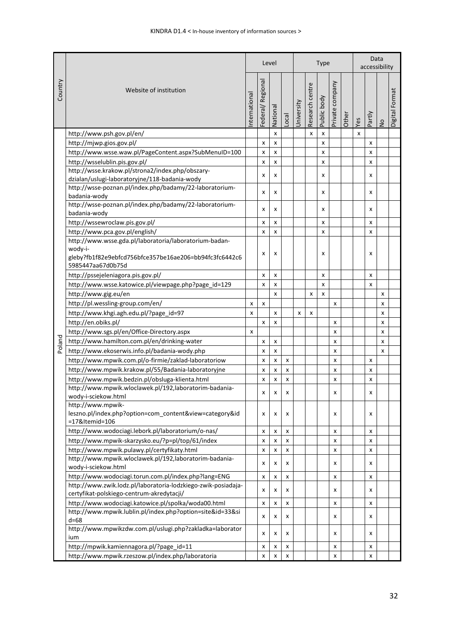|         |                                                                                                            |                           |                  | Level    |       |            |                 | <b>Type</b> |                 | Data<br>accessibility |     |        |               |                |
|---------|------------------------------------------------------------------------------------------------------------|---------------------------|------------------|----------|-------|------------|-----------------|-------------|-----------------|-----------------------|-----|--------|---------------|----------------|
| Country | Website of institution<br>nternational                                                                     |                           | Federal/Regional | National | _ocal | University | Research centre | Public body | Private company | Other                 | Yes | Partly | $\frac{1}{2}$ | Digital Format |
|         | http://www.psh.gov.pl/en/                                                                                  |                           |                  | x        |       |            | x               | X           |                 |                       | x   |        |               |                |
|         | http://mjwp.gios.gov.pl/                                                                                   |                           | x                | x        |       |            |                 | x           |                 |                       |     | x      |               |                |
|         | http://www.wsse.waw.pl/PageContent.aspx?SubMenuID=100                                                      |                           | x                | x        |       |            |                 | x           |                 |                       |     | x      |               |                |
|         | http://wsselublin.pis.gov.pl/                                                                              |                           | x                | x        |       |            |                 | x           |                 |                       |     | x      |               |                |
|         | http://wsse.krakow.pl/strona2/index.php/obszary-                                                           |                           |                  |          |       |            |                 |             |                 |                       |     |        |               |                |
|         | dzialan/uslugi-laboratoryjne/118-badania-wody                                                              |                           | x                | x        |       |            |                 | x           |                 |                       |     | x      |               |                |
|         | http://wsse-poznan.pl/index.php/badamy/22-laboratorium-<br>badania-wody                                    |                           | x                | x        |       |            |                 | x           |                 |                       |     | x      |               |                |
|         | http://wsse-poznan.pl/index.php/badamy/22-laboratorium-<br>badania-wody                                    |                           | x                | x        |       |            |                 | x           |                 |                       |     | x      |               |                |
|         | http://wssewroclaw.pis.gov.pl/                                                                             |                           | x                | x        |       |            |                 | x           |                 |                       |     | x      |               |                |
|         | http://www.pca.gov.pl/english/                                                                             |                           | x                | x        |       |            |                 | x           |                 |                       |     | x      |               |                |
|         | http://www.wsse.gda.pl/laboratoria/laboratorium-badan-<br>wody-i-                                          |                           | X                | x        |       |            |                 | x           |                 |                       |     | x      |               |                |
|         | gleby?fb1f82e9ebfcd756bfce357be16ae206=bb94fc3fc6442c6<br>5985447aa67d0b75d                                |                           |                  |          |       |            |                 |             |                 |                       |     |        |               |                |
|         | http://pssejeleniagora.pis.gov.pl/                                                                         |                           | x                | x        |       |            |                 | x           |                 |                       |     | x      |               |                |
|         | http://www.wsse.katowice.pl/viewpage.php?page_id=129                                                       |                           | X                | x        |       |            |                 | x           |                 |                       |     | x      |               |                |
|         | http://www.gig.eu/en                                                                                       |                           |                  | x        |       |            | x               | x           |                 |                       |     |        | x             |                |
|         | http://pl.wessling-group.com/en/                                                                           | x                         | x                |          |       |            |                 |             | X               |                       |     |        | x             |                |
|         | http://www.khgi.agh.edu.pl/?page_id=97                                                                     | X                         |                  | x        |       | x          | x               |             |                 |                       |     |        | x             |                |
|         | http://en.obiks.pl/                                                                                        |                           | x                | x        |       |            |                 |             | X               |                       |     |        | x             |                |
|         | http://www.sgs.pl/en/Office-Directory.aspx                                                                 | $\boldsymbol{\mathsf{x}}$ |                  |          |       |            |                 |             | X               |                       |     |        | x             |                |
|         | http://www.hamilton.com.pl/en/drinking-water                                                               |                           | x                | x        |       |            |                 |             | $\pmb{\times}$  |                       |     |        | x             |                |
| Poland  | http://www.ekoserwis.info.pl/badania-wody.php                                                              |                           | x                | x        |       |            |                 |             | X               |                       |     |        | X             |                |
|         | http://www.mpwik.com.pl/o-firmie/zaklad-laboratoriow                                                       |                           | x                | x        | x     |            |                 |             | X               |                       |     | x      |               |                |
|         | http://www.mpwik.krakow.pl/55/Badania-laboratoryjne                                                        |                           | x                | x        | x     |            |                 |             | x               |                       |     | x      |               |                |
|         | http://www.mpwik.bedzin.pl/obsluga-klienta.html                                                            |                           | x                | X        | x     |            |                 |             | X               |                       |     | x      |               |                |
|         | http://www.mpwik.wloclawek.pl/192,laboratorim-badania-                                                     |                           |                  |          |       |            |                 |             |                 |                       |     |        |               |                |
|         | wody-i-sciekow.html                                                                                        |                           | x                | x        | x     |            |                 |             | х               |                       |     | x      |               |                |
|         | http://www.mpwik-<br>leszno.pl/index.php?option=com_content&view=category&id<br>=17&Itemid=106             |                           | x                | x        | x     |            |                 |             | X               |                       |     | x      |               |                |
|         | http://www.wodociagi.lebork.pl/laboratorium/o-nas/                                                         |                           | x                | x        | x     |            |                 |             | X               |                       |     | x      |               |                |
|         | http://www.mpwik-skarzysko.eu/?p=pl/top/61/index                                                           |                           | x                | X        | x     |            |                 |             | X               |                       |     | x      |               |                |
|         | http://www.mpwik.pulawy.pl/certyfikaty.html                                                                |                           | x                | X        | x     |            |                 |             | X               |                       |     | x      |               |                |
|         | http://www.mpwik.wloclawek.pl/192,laboratorim-badania-<br>wody-i-sciekow.html                              |                           | X                | X        | x     |            |                 |             | X               |                       |     | x      |               |                |
|         | http://www.wodociagi.torun.com.pl/index.php?lang=ENG                                                       |                           | x                | x        | x     |            |                 |             | х               |                       |     | x      |               |                |
|         | http://www.zwik.lodz.pl/laboratoria-lodzkiego-zwik-posiadaja-<br>certyfikat-polskiego-centrum-akredytacji/ |                           | x                | x        | x     |            |                 |             | х               |                       |     | x      |               |                |
|         | http://www.wodociagi.katowice.pl/spolka/woda00.html                                                        |                           | x                | x        | x     |            |                 |             | X               |                       |     | x      |               |                |
|         | http://www.mpwik.lublin.pl/index.php?option=site&id=33&si<br>$d = 68$                                      |                           | x                | x        | x     |            |                 |             | x               |                       |     | x      |               |                |
|         | http://www.mpwikzdw.com.pl/uslugi.php?zakladka=laborator<br>ium                                            |                           | x                | х        | х     |            |                 |             | х               |                       |     | x      |               |                |
|         | http://mpwik.kamiennagora.pl/?page_id=11                                                                   |                           | x                | x        | x     |            |                 |             | х               |                       |     | x      |               |                |
|         | http://www.mpwik.rzeszow.pl/index.php/laboratoria                                                          |                           | x                | X        | x     |            |                 |             | х               |                       |     | x      |               |                |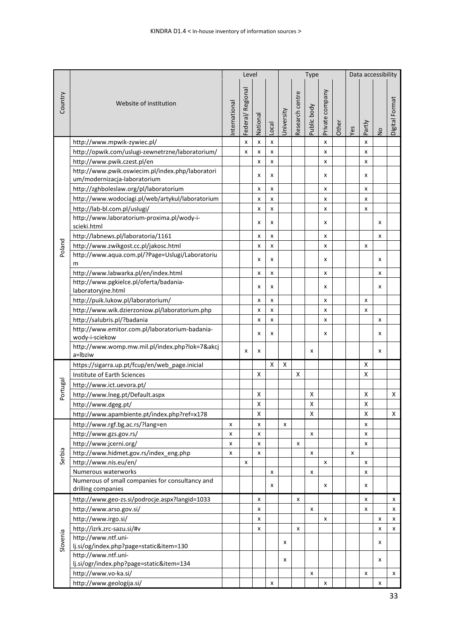|          |                                                                                  |              |                  |          | Type  |            | Data accessibility |             |                 |       |     |        |               |                |
|----------|----------------------------------------------------------------------------------|--------------|------------------|----------|-------|------------|--------------------|-------------|-----------------|-------|-----|--------|---------------|----------------|
| Country  | Website of institution                                                           | nternational | Federal/Regional | National | Local | University | Research centre    | Public body | Private company | Other | Yes | Partly | $\frac{1}{2}$ | Digital Format |
|          | http://www.mpwik-zywiec.pl/                                                      |              | x                | x        | x     |            |                    |             | x               |       |     | x      |               |                |
|          | http://opwik.com/uslugi-zewnetrzne/laboratorium/                                 |              | x                | x        | x     |            |                    |             | x               |       |     | x      |               |                |
|          | http://www.pwik.czest.pl/en                                                      |              |                  | x        | x     |            |                    |             | x               |       |     | x      |               |                |
|          | http://www.pwik.oswiecim.pl/index.php/laboratori<br>um/modernizacja-laboratorium |              |                  | x        | x     |            |                    |             | x               |       |     | x      |               |                |
|          | http://zghboleslaw.org/pl/laboratorium                                           |              |                  | x        | x     |            |                    |             | x               |       |     | x      |               |                |
|          | http://www.wodociagi.pl/web/artykul/laboratorium                                 |              |                  | x        | x     |            |                    |             | x               |       |     | x      |               |                |
|          | http://lab-bl.com.pl/uslugi/                                                     |              |                  | x        | x     |            |                    |             | x               |       |     | x      |               |                |
|          | http://www.laboratorium-proxima.pl/wody-i-<br>scieki.html                        |              |                  | x        | x     |            |                    |             | x               |       |     |        | x             |                |
|          | http://labnews.pl/laboratoria/1161                                               |              |                  | x        | x     |            |                    |             | x               |       |     |        | x             |                |
| Poland   | http://www.zwikgost.cc.pl/jakosc.html                                            |              |                  | x        | x     |            |                    |             | x               |       |     | x      |               |                |
|          | http://www.aqua.com.pl/?Page=Uslugi/Laboratoriu<br>m                             |              |                  | x        | x     |            |                    |             | x               |       |     |        | x             |                |
|          | http://www.labwarka.pl/en/index.html                                             |              |                  | x        | x     |            |                    |             | x               |       |     |        | x             |                |
|          | http://www.pgkielce.pl/oferta/badania-                                           |              |                  | x        | x     |            |                    |             | x               |       |     |        | x             |                |
|          | laboratoryjne.html                                                               |              |                  |          |       |            |                    |             |                 |       |     |        |               |                |
|          | http://puik.lukow.pl/laboratorium/                                               |              |                  | x        | x     |            |                    |             | x               |       |     | x      |               |                |
|          | http://www.wik.dzierzoniow.pl/laboratorium.php                                   |              |                  | x        | x     |            |                    |             | x               |       |     | x      |               |                |
|          | http://salubris.pl/?badania                                                      |              |                  | x        | x     |            |                    |             | x               |       |     |        | x             |                |
|          | http://www.emitor.com.pl/laboratorium-badania-<br>wody-i-sciekow                 |              |                  | x        | x     |            |                    |             | x               |       |     |        | x             |                |
|          | http://www.womp.mw.mil.pl/index.php?lok=7&akcj<br>a=Ibziw                        |              | x                | x        |       |            |                    | x           |                 |       |     |        | x             |                |
|          | https://sigarra.up.pt/fcup/en/web_page.inicial                                   |              |                  |          | X     | X          |                    |             |                 |       |     | x      |               |                |
|          | Institute of Earth Sciences                                                      |              |                  | х        |       |            | х                  |             |                 |       |     | X      |               |                |
|          | http://www.ict.uevora.pt/                                                        |              |                  |          |       |            |                    |             |                 |       |     |        |               |                |
| Portugal | http://www.lneg.pt/Default.aspx                                                  |              |                  | X        |       |            |                    | X           |                 |       |     | X      |               | X              |
|          | http://www.dgeg.pt/                                                              |              |                  | x        |       |            |                    | X           |                 |       |     | X      |               |                |
|          | http://www.apambiente.pt/index.php?ref=x178                                      |              |                  | X        |       |            |                    | X           |                 |       |     | X      |               | X              |
|          | http://www.rgf.bg.ac.rs/?lang=en                                                 | x            |                  | X        |       | x          |                    |             |                 |       |     | x      |               |                |
|          | http://www.gzs.gov.rs/                                                           | x            |                  | X        |       |            |                    | x           |                 |       |     | x      |               |                |
|          | http://www.jcerni.org/                                                           | x            |                  | x        |       |            | $\pmb{\times}$     |             |                 |       |     | x      |               |                |
| Serbia   | http://www.hidmet.gov.rs/index_eng.php                                           | x            |                  | x        |       |            |                    | x           |                 |       | x   |        |               |                |
|          | http://www.nis.eu/en/                                                            |              | x                |          |       |            |                    |             | x               |       |     | x      |               |                |
|          | Numerous waterworks                                                              |              |                  |          | x     |            |                    | x           |                 |       |     | x      |               |                |
|          | Numerous of small companies for consultancy and<br>drilling companies            |              |                  |          | x     |            |                    |             | x               |       |     | x      |               |                |
|          | http://www.geo-zs.si/podrocje.aspx?langid=1033                                   |              |                  | X        |       |            | x                  |             |                 |       |     | x      |               | x              |
|          | http://www.arso.gov.si/                                                          |              |                  | X        |       |            |                    | x           |                 |       |     | x      |               | x              |
|          | http://www.irgo.si/                                                              |              |                  | x        |       |            |                    |             | x               |       |     |        | x             | x              |
|          | http://izrk.zrc-sazu.si/#v                                                       |              |                  | x        |       |            | x                  |             |                 |       |     |        | x             | x              |
| Slovenia | http://www.ntf.uni-                                                              |              |                  |          |       |            |                    |             |                 |       |     |        |               |                |
|          | lj.si/og/index.php?page=static&item=130                                          |              |                  |          |       | x          |                    |             |                 |       |     |        | x             |                |
|          | http://www.ntf.uni-<br>lj.si/ogr/index.php?page=static&item=134                  |              |                  |          |       | x          |                    |             |                 |       |     |        | x             |                |
|          | http://www.vo-ka.si/                                                             |              |                  |          |       |            |                    | x           |                 |       |     | x      |               | x              |
|          | http://www.geologija.si/                                                         |              |                  |          | x     |            |                    |             | x               |       |     |        | x             |                |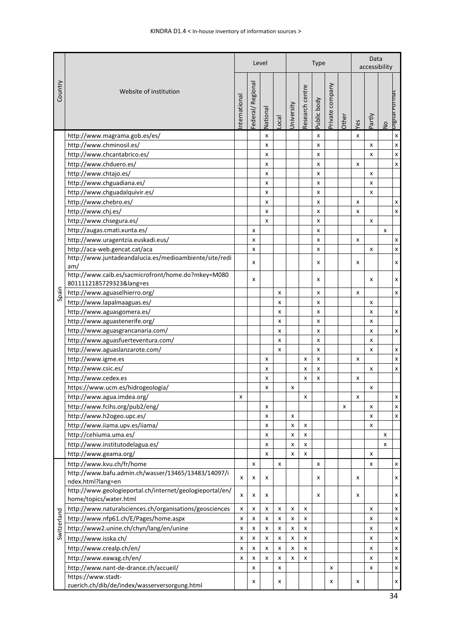|             |                                                                          |   |                 | Level    |       |            |                 | <b>Type</b> |                 | Data<br>accessibility |                           |        |               |                           |
|-------------|--------------------------------------------------------------------------|---|-----------------|----------|-------|------------|-----------------|-------------|-----------------|-----------------------|---------------------------|--------|---------------|---------------------------|
| Country     | Website of institution<br>nternational                                   |   | ederal/Regional | National | Local | Jniversity | Research centre | Public body | Private company | Other                 | Yes                       | Partly | $\frac{1}{2}$ | <u>рило - </u><br>Digital |
|             | http://www.magrama.gob.es/es/                                            |   |                 | x        |       |            |                 | X           |                 |                       | X                         |        |               | $\pmb{\mathsf{x}}$        |
|             | http://www.chminosil.es/                                                 |   |                 | x        |       |            |                 | X           |                 |                       |                           | x      |               | $\pmb{\mathsf{x}}$        |
|             | http://www.chcantabrico.es/                                              |   |                 | X        |       |            |                 | X           |                 |                       |                           | x      |               | $\pmb{\mathsf{x}}$        |
|             | http://www.chduero.es/                                                   |   |                 | X        |       |            |                 | X           |                 |                       | X                         |        |               | $\mathsf{x}$              |
|             | http://www.chtajo.es/                                                    |   |                 | x        |       |            |                 | x           |                 |                       |                           | x      |               |                           |
|             | http://www.chguadiana.es/                                                |   |                 | x        |       |            |                 | x           |                 |                       |                           | x      |               |                           |
|             | http://www.chguadalquivir.es/                                            |   |                 | x        |       |            |                 | x           |                 |                       |                           | x      |               |                           |
|             | http://www.chebro.es/                                                    |   |                 | x        |       |            |                 | x           |                 |                       | X                         |        |               | $\pmb{\times}$            |
|             | http://www.chj.es/                                                       |   |                 | x        |       |            |                 | x           |                 |                       | x                         |        |               | $\pmb{\times}$            |
|             | http://www.chsegura.es/                                                  |   |                 | X        |       |            |                 | x           |                 |                       |                           | x      |               |                           |
|             | http://augas.cmati.xunta.es/                                             |   | x               |          |       |            |                 | x           |                 |                       |                           |        | x             |                           |
|             | http://www.uragentzia.euskadi.eus/                                       |   | x               |          |       |            |                 | x           |                 |                       | $\boldsymbol{\mathsf{x}}$ |        |               | X                         |
|             | http://aca-web.gencat.cat/aca                                            |   | x               |          |       |            |                 | x           |                 |                       |                           | x      |               | $\pmb{\mathsf{x}}$        |
|             | http://www.juntadeandalucia.es/medioambiente/site/redi                   |   |                 |          |       |            |                 |             |                 |                       |                           |        |               |                           |
|             | am/                                                                      |   | x               |          |       |            |                 | x           |                 |                       | x                         |        |               | x                         |
|             | http://www.caib.es/sacmicrofront/home.do?mkey=M080                       |   | x               |          |       |            |                 | x           |                 |                       |                           | x      |               | x                         |
|             | 8011112185729323⟨=es                                                     |   |                 |          |       |            |                 |             |                 |                       |                           |        |               |                           |
| Spain       | http://www.aguaselhierro.org/                                            |   |                 |          | x     |            |                 | x           |                 |                       | x                         |        |               | $\pmb{\mathsf{x}}$        |
|             | http://www.lapalmaaguas.es/                                              |   |                 |          | x     |            |                 | x           |                 |                       |                           | x      |               |                           |
|             | http://www.aguasgomera.es/                                               |   |                 |          | x     |            |                 | x           |                 |                       |                           | x      |               | $\pmb{\mathsf{x}}$        |
|             | http://www.aguastenerife.org/                                            |   |                 |          | x     |            |                 | x           |                 |                       |                           | x      |               |                           |
|             | http://www.aguasgrancanaria.com/                                         |   |                 |          | x     |            |                 | x           |                 |                       |                           | x      |               | $\pmb{\times}$            |
|             | http://www.aguasfuerteventura.com/                                       |   |                 |          | X     |            |                 | x           |                 |                       |                           | x      |               |                           |
|             | http://www.aguaslanzarote.com/                                           |   |                 |          | x     |            |                 | X           |                 |                       |                           | x      |               | $\pmb{\mathsf{x}}$        |
|             | http://www.igme.es                                                       |   |                 | X        |       |            | X               | x           |                 |                       | X                         |        |               | $\pmb{\mathsf{x}}$        |
|             | http://www.csic.es/                                                      |   |                 | X        |       |            | X               | x           |                 |                       |                           | X      |               | $\mathsf{x}$              |
|             | http://www.cedex.es                                                      |   |                 | x        |       |            | x               | x           |                 |                       | x                         |        |               |                           |
|             | https://www.ucm.es/hidrogeologia/                                        |   |                 | x        |       | x          |                 |             |                 |                       |                           | x      |               |                           |
|             | http://www.agua.imdea.org/                                               | x |                 |          |       |            | x               |             |                 |                       | x                         |        |               | $\pmb{\times}$            |
|             | http://www.fcihs.org/pub2/eng/                                           |   |                 | x        |       |            |                 |             |                 | x                     |                           | x      |               | X                         |
|             | http://www.h2ogeo.upc.es/                                                |   |                 | x        |       | x          |                 |             |                 |                       |                           | x      |               | $\pmb{\times}$            |
|             | http://www.iiama.upv.es/iiama/                                           |   |                 | x        |       | x          | X               |             |                 |                       |                           | x      |               |                           |
|             | http://cehiuma.uma.es/                                                   |   |                 | x        |       | x          | x               |             |                 |                       |                           |        | x             |                           |
|             | http://www.institutodelagua.es/                                          |   |                 | x        |       | x          | X               |             |                 |                       |                           |        | x             |                           |
|             | http://www.geama.org/                                                    |   |                 | x        |       | x          | x               |             |                 |                       |                           | x      |               |                           |
|             | http://www.kvu.ch/fr/home                                                |   | X               |          | x     |            |                 | x           |                 |                       |                           | x      |               | $\pmb{\mathsf{x}}$        |
|             | http://www.bafu.admin.ch/wasser/13465/13483/14097/i<br>ndex.html?lang=en | X | x               | x        |       |            |                 | x           |                 |                       | x                         |        |               | x                         |
|             | http://www.geologieportal.ch/internet/geologieportal/en/                 | x | x               | x        |       |            |                 | x           |                 |                       | x                         |        |               | x                         |
|             | home/topics/water.html                                                   |   |                 |          |       |            |                 |             |                 |                       |                           |        |               |                           |
|             | http://www.naturalsciences.ch/organisations/geosciences                  | x | x               | x        | x     | X          | x               |             |                 |                       |                           | x      |               | $\pmb{\times}$            |
|             | http://www.nfp61.ch/E/Pages/home.aspx                                    | X | x               | X        | x     | x          | X               |             |                 |                       |                           | x      |               | $\boldsymbol{\mathsf{x}}$ |
| Switzerland | http://www2.unine.ch/chyn/lang/en/unine                                  | x | x               | x        | x     | x          | x               |             |                 |                       |                           | x      |               | $\pmb{\times}$            |
|             | http://www.isska.ch/                                                     | X | x               | x        | x     | x          | x               |             |                 |                       |                           | x      |               | $\pmb{\mathsf{x}}$        |
|             | http://www.crealp.ch/en/                                                 | X | x               | X        | x     | x          | x               |             |                 |                       |                           | x      |               | $\boldsymbol{\mathsf{x}}$ |
|             | http://www.eawag.ch/en/                                                  | x | x               | x        | x     | x          | x               |             |                 |                       |                           | x      |               | $\pmb{\mathsf{x}}$        |
|             | http://www.nant-de-drance.ch/accueil/                                    |   | x               |          | x     |            |                 |             | x               |                       |                           | x      |               | $\pmb{\mathsf{x}}$        |
|             | https://www.stadt-<br>zuerich.ch/dib/de/index/wasserversorgung.html      |   | x               |          | x     |            |                 |             | x               |                       | x                         |        |               | X                         |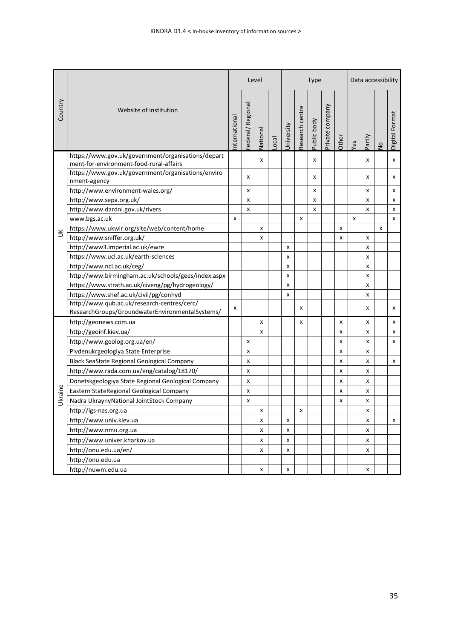|         |                                                                                                |              |                  | Level    |                   |            |                 | <b>Type</b> |                 | Data accessibility |     |                           |               |                |
|---------|------------------------------------------------------------------------------------------------|--------------|------------------|----------|-------------------|------------|-----------------|-------------|-----------------|--------------------|-----|---------------------------|---------------|----------------|
| Country | Website of institution                                                                         | nternational | Federal/Regional | National | $_{\text{local}}$ | University | Research centre | Public body | Private company | Other              | Yes | Partly                    | $\frac{1}{2}$ | Digital Format |
|         | https://www.gov.uk/government/organisations/depart<br>ment-for-environment-food-rural-affairs  |              |                  | x        |                   |            |                 | x           |                 |                    |     | x                         |               | x              |
|         | https://www.gov.uk/government/organisations/enviro<br>nment-agency                             |              | X                |          |                   |            |                 | x           |                 |                    |     | X                         |               | x              |
|         | http://www.environment-wales.org/                                                              |              | x                |          |                   |            |                 | x           |                 |                    |     | x                         |               | x              |
|         | http://www.sepa.org.uk/                                                                        |              | x                |          |                   |            |                 | x           |                 |                    |     | X                         |               | x              |
|         | http://www.dardni.gov.uk/rivers                                                                |              | x                |          |                   |            |                 | x           |                 |                    |     | X                         |               | x              |
|         | www.bgs.ac.uk                                                                                  | x            |                  |          |                   |            | x               |             |                 |                    | x   |                           |               | x              |
|         | https://www.ukwir.org/site/web/content/home                                                    |              |                  | x        |                   |            |                 |             |                 | x                  |     |                           | x             |                |
| $\leq$  | http://www.sniffer.org.uk/                                                                     |              |                  | X        |                   |            |                 |             |                 | X                  |     | X                         |               |                |
|         | http://www3.imperial.ac.uk/ewre                                                                |              |                  |          |                   | x          |                 |             |                 |                    |     | X                         |               |                |
|         | https://www.ucl.ac.uk/earth-sciences                                                           |              |                  |          |                   | x          |                 |             |                 |                    |     | X                         |               |                |
|         | http://www.ncl.ac.uk/ceg/                                                                      |              |                  |          |                   | x          |                 |             |                 |                    |     | X                         |               |                |
|         | http://www.birmingham.ac.uk/schools/gees/index.aspx                                            |              |                  |          |                   | x          |                 |             |                 |                    |     | X                         |               |                |
|         | https://www.strath.ac.uk/civeng/pg/hydrogeology/                                               |              |                  |          |                   | x          |                 |             |                 |                    |     | X                         |               |                |
|         | https://www.shef.ac.uk/civil/pg/conhyd                                                         |              |                  |          |                   | x          |                 |             |                 |                    |     | x                         |               |                |
|         | http://www.qub.ac.uk/research-centres/cerc/<br>ResearchGroups/GroundwaterEnvironmentalSystems/ | x            |                  |          |                   |            | x               |             |                 |                    |     | x                         |               | x              |
|         | http://geonews.com.ua                                                                          |              |                  | X        |                   |            | x               |             |                 | x                  |     | $\boldsymbol{\mathsf{x}}$ |               | x              |
|         | http://geoinf.kiev.ua/                                                                         |              |                  | x        |                   |            |                 |             |                 | x                  |     | X                         |               | x              |
|         | http://www.geolog.org.ua/en/                                                                   |              | x                |          |                   |            |                 |             |                 | x                  |     | X                         |               | x              |
|         | Pivdenukrgeologiya State Enterprise                                                            |              | x                |          |                   |            |                 |             |                 | x                  |     | x                         |               |                |
|         | Black SeaState Regional Geological Company                                                     |              | x                |          |                   |            |                 |             |                 | x                  |     | $\boldsymbol{\mathsf{x}}$ |               | x              |
|         | http://www.rada.com.ua/eng/catalog/18170/                                                      |              | x                |          |                   |            |                 |             |                 | x                  |     | X                         |               |                |
|         | Donetskgeologiya State Regional Geological Company                                             |              | x                |          |                   |            |                 |             |                 | x                  |     | $\boldsymbol{\mathsf{x}}$ |               |                |
|         | Eastern StateRegional Geological Company                                                       |              | x                |          |                   |            |                 |             |                 | x                  |     | X                         |               |                |
| Ukraine | Nadra UkraynyNational JointStock Company                                                       |              | x                |          |                   |            |                 |             |                 | x                  |     | x                         |               |                |
|         | http://igs-nas.org.ua                                                                          |              |                  | x        |                   |            | x               |             |                 |                    |     | x                         |               |                |
|         | http://www.univ.kiev.ua                                                                        |              |                  | x        |                   | x          |                 |             |                 |                    |     | x                         |               | x              |
|         | http://www.nmu.org.ua                                                                          |              |                  | x        |                   | x          |                 |             |                 |                    |     | x                         |               |                |
|         | http://www.univer.kharkov.ua                                                                   |              |                  | x        |                   | X          |                 |             |                 |                    |     | x                         |               |                |
|         | http://onu.edu.ua/en/                                                                          |              |                  | x        |                   | x          |                 |             |                 |                    |     | X                         |               |                |
|         | http://onu.edu.ua                                                                              |              |                  |          |                   |            |                 |             |                 |                    |     |                           |               |                |
|         | http://nuwm.edu.ua                                                                             |              |                  | x        |                   | x          |                 |             |                 |                    |     | X                         |               |                |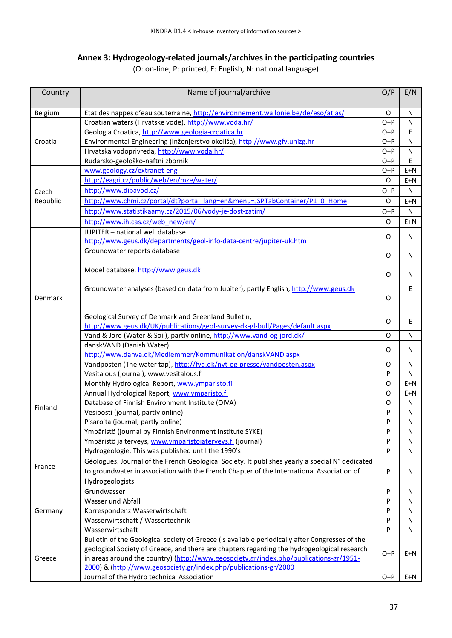### **Annex 3: Hydrogeology-related journals/archives in the participating countries**

(O: on-line, P: printed, E: English, N: national language)

| Country  | Name of journal/archive                                                                         | O/P   | E/N          |
|----------|-------------------------------------------------------------------------------------------------|-------|--------------|
| Belgium  | Etat des nappes d'eau souterraine, http://environnement.wallonie.be/de/eso/atlas/               | O     | N            |
|          | Croatian waters (Hrvatske vode), http://www.voda.hr/                                            | $O+P$ | N            |
|          | Geologia Croatica, http://www.geologia-croatica.hr                                              | $O+P$ | Ε            |
| Croatia  | Environmental Engineering (Inženjerstvo okoliša), http://www.gfv.unizg.hr                       | $O+P$ | N            |
|          | Hrvatska vodoprivreda, http://www.voda.hr/                                                      | $O+P$ | $\mathsf{N}$ |
|          | Rudarsko-geološko-naftni zbornik                                                                | $O+P$ | E            |
|          | www.geology.cz/extranet-eng                                                                     | $O+P$ | $E+N$        |
|          | http://eagri.cz/public/web/en/mze/water/                                                        | O     | $E+N$        |
| Czech    | http://www.dibavod.cz/                                                                          | $O+P$ | N            |
| Republic | http://www.chmi.cz/portal/dt?portal_lang=en&menu=JSPTabContainer/P1_0_Home                      | O     | $E+N$        |
|          | http://www.statistikaamy.cz/2015/06/vody-je-dost-zatim/                                         | $O+P$ | N            |
|          | http://www.ih.cas.cz/web new/en/                                                                | O     | $E+N$        |
|          | JUPITER - national well database                                                                |       |              |
|          | http://www.geus.dk/departments/geol-info-data-centre/jupiter-uk.htm                             | O     | N            |
|          | Groundwater reports database                                                                    |       |              |
|          |                                                                                                 | O     | N            |
|          | Model database, http://www.geus.dk                                                              | O     | N            |
|          |                                                                                                 |       |              |
| Denmark  | Groundwater analyses (based on data from Jupiter), partly English, http://www.geus.dk           | O     | E            |
|          | Geological Survey of Denmark and Greenland Bulletin,                                            |       |              |
|          | http://www.geus.dk/UK/publications/geol-survey-dk-gl-bull/Pages/default.aspx                    | O     | E            |
|          | Vand & Jord (Water & Soil), partly online, http://www.vand-og-jord.dk/                          | O     | N            |
|          | danskVAND (Danish Water)                                                                        | 0     | N            |
|          | http://www.danva.dk/Medlemmer/Kommunikation/danskVAND.aspx                                      |       |              |
|          | Vandposten (The water tap), http://fvd.dk/nyt-og-presse/vandposten.aspx                         | O     | $\mathsf{N}$ |
|          | Vesitalous (journal), www.vesitalous.fi                                                         | P     | $\mathsf{N}$ |
|          | Monthly Hydrological Report, www.ymparisto.fi                                                   | O     | $E+N$        |
|          | Annual Hydrological Report, www.ymparisto.fi                                                    | O     | $E+N$        |
| Finland  | Database of Finnish Environment Institute (OIVA)                                                | O     | N            |
|          | Vesiposti (journal, partly online)                                                              | P     | N            |
|          | Pisaroita (journal, partly online)                                                              | P     | N            |
|          | Ympäristö (journal by Finnish Environment Institute SYKE)                                       | P     | N            |
|          | Ympäristö ja terveys, www.ymparistojaterveys.fi (journal)                                       | P     | N            |
|          | Hydrogéologie. This was published until the 1990's                                              | P     | N            |
| France   | Géologues. Journal of the French Geological Society. It publishes yearly a special N° dedicated |       |              |
|          | to groundwater in association with the French Chapter of the International Association of       | P     | N            |
|          | Hydrogeologists                                                                                 |       |              |
|          | Grundwasser                                                                                     | P     | N            |
|          | Wasser und Abfall                                                                               | P     | $\mathsf{N}$ |
| Germany  | Korrespondenz Wasserwirtschaft                                                                  | P     | N            |
|          | Wasserwirtschaft / Wassertechnik                                                                | P     | N            |
|          | Wasserwirtschaft                                                                                | P     | N            |
|          | Bulletin of the Geological society of Greece (is available periodically after Congresses of the |       |              |
|          | geological Society of Greece, and there are chapters regarding the hydrogeological research     | $O+P$ | $E+N$        |
| Greece   | in areas around the country) (http://www.geosociety.gr/index.php/publications-gr/1951-          |       |              |
|          | 2000) & (http://www.geosociety.gr/index.php/publications-gr/2000                                |       |              |
|          | Journal of the Hydro technical Association                                                      | $O+P$ | $E+N$        |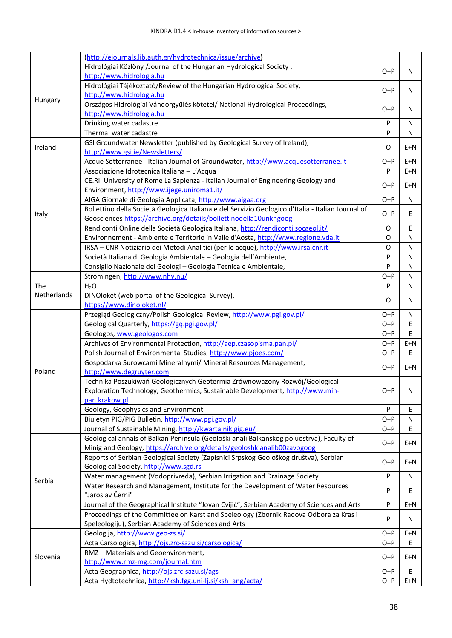|             | (http://ejournals.lib.auth.gr/hydrotechnica/issue/archive)                                                                                                                   |           |             |
|-------------|------------------------------------------------------------------------------------------------------------------------------------------------------------------------------|-----------|-------------|
|             | Hidrológiai Közlöny /Journal of the Hungarian Hydrological Society,<br>http://www.hidrologia.hu                                                                              | O+P       | N           |
|             | Hidrológiai Tájékoztató/Review of the Hungarian Hydrological Society,                                                                                                        |           |             |
| Hungary     | http://www.hidrologia.hu                                                                                                                                                     | $O+P$     | N           |
|             | Országos Hidrológiai Vándorgyűlés kötetei/ National Hydrological Proceedings,<br>http://www.hidrologia.hu                                                                    | O+P       | N           |
|             | Drinking water cadastre                                                                                                                                                      | ${\sf P}$ | N           |
|             | Thermal water cadastre                                                                                                                                                       | ${\sf P}$ | N           |
| Ireland     | GSI Groundwater Newsletter (published by Geological Survey of Ireland),                                                                                                      | O         | $E+N$       |
|             | http://www.gsi.ie/Newsletters/                                                                                                                                               |           |             |
|             | Acque Sotterranee - Italian Journal of Groundwater, http://www.acquesotterranee.it                                                                                           | $O+P$     | $E+N$       |
|             | Associazione Idrotecnica Italiana - L'Acqua                                                                                                                                  | P         | $E+N$       |
|             | CE.RI. University of Rome La Sapienza - Italian Journal of Engineering Geology and                                                                                           | $O+P$     | $E+N$       |
|             | Environment, http://www.ijege.uniroma1.it/                                                                                                                                   |           |             |
|             | AIGA Giornale di Geologia Applicata, http://www.aigaa.org                                                                                                                    | $O+P$     | N           |
| Italy       | Bollettino della Società Geologica Italiana e del Servizio Geologico d'Italia - Italian Journal of                                                                           | $O+P$     | E           |
|             | Geosciences https://archive.org/details/bollettinodella10unkngoog                                                                                                            |           |             |
|             | Rendiconti Online della Società Geologica Italiana, http://rendiconti.socgeol.it/                                                                                            | O         | Ε           |
|             | Environnement - Ambiente e Territorio in Valle d'Aosta, http://www.regione.vda.it                                                                                            | O         | N           |
|             | IRSA - CNR Notiziario dei Metodi Analitici (per le acque), http://www.irsa.cnr.it                                                                                            | O         | N           |
|             | Società Italiana di Geologia Ambientale - Geologia dell'Ambiente,                                                                                                            | P         | N           |
|             | Consiglio Nazionale dei Geologi - Geologia Tecnica e Ambientale,                                                                                                             | P         | N           |
|             | Stromingen, http://www.nhv.nu/                                                                                                                                               | $O+P$     | N           |
| The         | $H_2O$                                                                                                                                                                       | P         | N           |
| Netherlands | DINOloket (web portal of the Geological Survey),                                                                                                                             | O         | N           |
|             | https://www.dinoloket.nl/                                                                                                                                                    |           |             |
|             | Przegląd Geologiczny/Polish Geological Review, http://www.pgi.gov.pl/                                                                                                        | O+P       | N           |
|             | Geological Quarterly, https://gq.pgi.gov.pl/                                                                                                                                 | $O+P$     | Ε           |
|             | Geologos, www.geologos.com                                                                                                                                                   | $O+P$     | E           |
|             | Archives of Environmental Protection, http://aep.czasopisma.pan.pl/                                                                                                          | $O+P$     | $E+N$       |
|             | Polish Journal of Environmental Studies, http://www.pjoes.com/                                                                                                               | $O+P$     | Ε           |
|             | Gospodarka Surowcami Mineralnymi/ Mineral Resources Management,                                                                                                              | $O+P$     | $E+N$       |
| Poland      | http://www.degruyter.com                                                                                                                                                     |           |             |
|             | Technika Poszukiwań Geologicznych Geotermia Zrównowazony Rozwój/Geological<br>Exploration Technology, Geothermics, Sustainable Development, http://www.min-<br>pan.krakow.pl | $O+P$     | N           |
|             | Geology, Geophysics and Environment                                                                                                                                          | ${\sf P}$ | $\mathsf E$ |
|             | Biuletyn PIG/PIG Bulletin, http://www.pgi.gov.pl/                                                                                                                            | $O+P$     | N           |
|             | Journal of Sustainable Mining, http://kwartalnik.gig.eu/                                                                                                                     | $O+P$     | E           |
|             | Geological annals of Balkan Peninsula (Geološki anali Balkanskog poluostrva), Faculty of<br>Minig and Geology, https://archive.org/details/geoloshkianalib00zavogoog         | $O+P$     | $E+N$       |
|             | Reports of Serbian Geological Society (Zapisnici Srpskog Geološkog društva), Serbian<br>Geological Society, http://www.sgd.rs                                                | $O+P$     | $E+N$       |
|             | Water management (Vodoprivreda), Serbian Irrigation and Drainage Society                                                                                                     | P         | N           |
| Serbia      | Water Research and Management, Institute for the Development of Water Resources                                                                                              |           |             |
|             | "Jaroslav Černi"                                                                                                                                                             | P         | Ε           |
|             | Journal of the Geographical Institute "Jovan Cvijić", Serbian Academy of Sciences and Arts                                                                                   | P         | $E+N$       |
|             | Proceedings of the Committee on Karst and Speleology (Zbornik Radova Odbora za Kras i<br>Speleologiju), Serbian Academy of Sciences and Arts                                 | P         | N           |
|             | Geologija, http://www.geo-zs.si/                                                                                                                                             | $O+P$     | $E+N$       |
|             | Acta Carsologica, http://ojs.zrc-sazu.si/carsologica/                                                                                                                        | $O+P$     | Ε           |
|             | RMZ - Materials and Geoenvironment,                                                                                                                                          |           |             |
| Slovenia    | http://www.rmz-mg.com/journal.htm                                                                                                                                            | $O+P$     | $E+N$       |
|             | Acta Geographica, http://ojs.zrc-sazu.si/ags                                                                                                                                 | $O+P$     | Ε           |
|             | Acta Hydtotechnica, http://ksh.fgg.uni-lj.si/ksh ang/acta/                                                                                                                   | $O+P$     | $E+N$       |